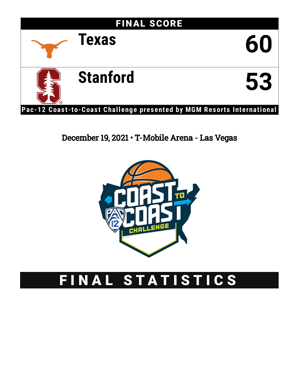

# December 19, 2021 • T-Mobile Arena - Las Vegas



# FINAL STATISTICS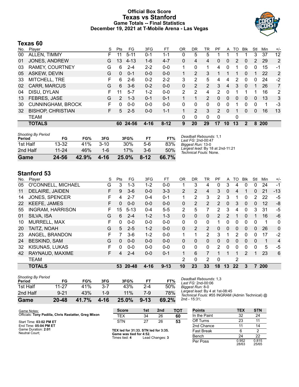### **Official Box Score Texas vs Stanford Game Totals -- Final Statistics December 19, 2021 at T-Mobile Arena - Las Vegas**



### **Texas 60**

| No. | Player                   | S  | <b>Pts</b>    | FG       | 3FG      | FT       | OR | DR | TR             | PF            | A  | то | <b>B</b> lk | Stl | Min | $+/-$          |
|-----|--------------------------|----|---------------|----------|----------|----------|----|----|----------------|---------------|----|----|-------------|-----|-----|----------------|
| 00  | ALLEN, TIMMY             |    | 11            | $5 - 11$ | $0 - 1$  | 1-1      | 0  | 5  | 5              |               |    |    |             | 3   | 37  | 12             |
| 01  | JONES, ANDREW            | G  | 13            | $4 - 13$ | $1 - 6$  | $4 - 7$  | 0  | 4  | 4              | 0             | 0  | 2  | 0           | 2   | 29  | $\overline{2}$ |
| 03  | <b>RAMEY, COURTNEY</b>   | G  | 6             | $2 - 4$  | $2 - 2$  | $0-0$    |    | 0  | 1              | 4             | 0  |    | 0           | 0   | 15  | -1             |
| 05  | ASKEW, DEVIN             | G  | $\Omega$      | $0 - 1$  | $0 - 0$  | $0 - 0$  |    | 2  | 3              |               |    |    | 0           | 1   | 22  | 2              |
| 33  | MITCHELL, TRE            | F. | 6             | $2 - 6$  | $0 - 2$  | $2 - 2$  | 3  | 2  | 5              | 4             | 4  | 2  | $\Omega$    | 0   | 24  | $-2$           |
| 02  | <b>CARR, MARCUS</b>      | G  | 6             | $3-6$    | $0 - 2$  | $0 - 0$  | 0  | 2  | $\overline{2}$ | 3             | 4  | 3  | $\Omega$    | 1   | 26  | $\overline{7}$ |
| 04  | DISU, DYLAN              | F  | 11            | $5 - 7$  | $1 - 2$  | $0 - 0$  | 2  | 2  | 4              | 2             | 0  |    |             |     | 16  | 2              |
| 13  | FEBRES, JASE             | G  | $\mathcal{P}$ | $1 - 3$  | $0 - 1$  | $0 - 1$  |    | 1  | $\overline{2}$ | 0             | 0  | 0  | 0           | 0   | 13  | 3              |
| 30  | <b>CUNNINGHAM, BROCK</b> | F. | 0             | $0 - 0$  | $0 - 0$  | $0 - 0$  | 0  | 0  | 0              | 0             | 0  |    | 0           | 0   | 1   | -3             |
| 32  | <b>BISHOP, CHRISTIAN</b> | F. | 5             | $2 - 5$  | $0 - 0$  | $1 - 1$  |    | 2  | 3              | $\mathcal{P}$ | 0  |    | 0           | 0   | 16  | 13             |
|     | <b>TEAM</b>              |    |               |          |          |          | 0  | 0  | 0              | 0             |    | 0  |             |     |     |                |
|     | <b>TOTALS</b>            |    | 60            | 24-56    | $4 - 16$ | $8 - 12$ | 9  | 20 | 29             | 17            | 10 | 13 | 2           | 8   | 200 |                |

| <b>Shooting By Period</b><br>Period | FG    | FG%   | 3FG      | 3FG%   | FT.      | FT%   | Deadball Rebounds: 1,1<br>Last FG: 2nd-00:47               |
|-------------------------------------|-------|-------|----------|--------|----------|-------|------------------------------------------------------------|
| 1st Half                            | 13-32 | 41%   | $3 - 10$ | $30\%$ | $5-6$    | 83%   | Biggest Run: 13-0                                          |
| 2nd Half                            | 11-24 | 46%   | $1 - 6$  | 17%    | $3-6$    | 50%   | Largest lead: By 18 at 2nd-11:21<br>Technical Fouls: None. |
| Game                                | 24-56 | 42.9% | 4-16     | 25.0%  | $8 - 12$ | 66.7% |                                                            |

# **Stanford 53**

| No. | Plaver                  | S  | Pts | FG        | 3FG      | FT       | 0R             | DR             | TR             | PF       | A        | TO       | <b>BIK</b>    | Stl      | Min | $+/-$       |
|-----|-------------------------|----|-----|-----------|----------|----------|----------------|----------------|----------------|----------|----------|----------|---------------|----------|-----|-------------|
| 05  | O'CONNELL, MICHAEL      | G  | 3   | $1 - 3$   | $1 - 2$  | $0 - 0$  |                | 3              | 4              | 0        | 3        | 4        | 0             | 0        | 24  | $-1$        |
| 11  | <b>DELAIRE, JAIDEN</b>  | F  | 9   | $3-6$     | $0 - 0$  | $3 - 3$  | $\overline{2}$ | 2              | 4              | 3        | 0        | 4        |               | 0        | 21  | $-13$       |
| 14  | <b>JONES, SPENCER</b>   | F  | 4   | $2 - 7$   | $0 - 4$  | $0 - 1$  | 1              | 2              | 3              | 2        | 3        | 4        | 0             | 2        | 22  | $-5$        |
| 22  | <b>KEEFE, JAMES</b>     | F  | 0   | $0 - 0$   | $0 - 0$  | $0 - 0$  | $\Omega$       | 2              | $\overline{2}$ | 2        | $\Omega$ | 3        | 0             | 0        | 12  | -8          |
| 55  | <b>INGRAM, HARRISON</b> | F  | 15  | $5 - 13$  | $0 - 4$  | $5 - 5$  | 2              | 5              |                | 2        | 3        | 4        | 0             | 3        | 31  | $-5$        |
| 01  | SILVA, ISA              | G  | 6   | $2 - 4$   | $1 - 2$  | $1 - 3$  | $\Omega$       | $\Omega$       | 0              | 2        | 2        | 1        | 0             |          | 16  | $-6$        |
| 10  | MURRELL, MAX            | F  | 0   | $0 - 0$   | $0 - 0$  | $0 - 0$  | $\Omega$       | 0              | $\Omega$       |          | $\Omega$ | 0        | 0             | $\Omega$ | 1   | $\mathbf 0$ |
| 20  | TAITZ, NOAH             | G  | 5   | $2 - 5$   | $1 - 2$  | $0 - 0$  | $\mathbf{0}$   | $\overline{2}$ | 2              | $\Omega$ | $\Omega$ | $\Omega$ | $\mathbf{0}$  | $\Omega$ | 26  | $\Omega$    |
| 23  | ANGEL, BRANDON          | F  | 7   | $3-6$     | $1 - 2$  | $0 - 0$  | 1              |                | 2              | 3        | 1        | 2        | 0             | 0        | 17  | $-2$        |
| 24  | <b>BESKIND, SAM</b>     | G  | 0   | $0 - 0$   | $0 - 0$  | $0 - 0$  | 0              | 0              | $\Omega$       | $\Omega$ | 0        | $\Omega$ | 0             | $\Omega$ | 1   | 4           |
| 32  | KISUNAS, LUKAS          | F  | 0   | $0 - 0$   | $0 - 0$  | $0 - 0$  | 0              | $\Omega$       | $\Omega$       | 2        | $\Omega$ | $\Omega$ | 0             | $\Omega$ | 5   | $-5$        |
| 42  | RAYNAUD, MAXIME         | F. | 4   | $2 - 4$   | $0 - 0$  | $0 - 1$  |                | 6              |                |          |          |          | $\mathcal{P}$ |          | 23  | 6           |
|     | <b>TEAM</b>             |    |     |           |          |          | 2              | 0              | 2              | 0        |          | 2        |               |          |     |             |
|     | <b>TOTALS</b>           |    | 53  | $20 - 48$ | $4 - 16$ | $9 - 13$ | 10             | 23             | 33             | 18       | 13       | 22       | 3             | 7        | 200 |             |

| <b>Shooting By Period</b><br>Period | FG        | FG%   | 3FG  | 3FG%  | FТ       | FT%   |
|-------------------------------------|-----------|-------|------|-------|----------|-------|
| 1st Half                            | 11-27     | 41%   | 3-7  | 43%   | $2 - 4$  | 50%   |
| 2nd Half                            | $9 - 21$  | 43%   | 1.9  | 11%   | 7-9      | 78%   |
| Game                                | $20 - 48$ | 41.7% | 4-16 | 25.0% | $9 - 13$ | 69.2% |

*Deadball Rebounds:* 1,3 *Last FG:* 2nd-00:06 *Biggest Run:* 8-0 *Largest lead:* By 4 at 1st-08:45 *Technical Fouls:* #55 INGRAM (Admin Technical) @ 2nd - 15:31;

| Game Notes:                                          | <b>Score</b>                                    | 1st | 2 <sub>nd</sub> | тот | <b>Points</b> | TEX            | <b>STN</b>     |
|------------------------------------------------------|-------------------------------------------------|-----|-----------------|-----|---------------|----------------|----------------|
| Officials: Tony Padilla, Chris Rastatter, Greg Mixon | <b>TEX</b>                                      | 34  | 26              | 60  | In the Paint  | 32             | 24             |
| Start Time: 03:02 PM ET                              | <b>STN</b>                                      | 27  | 26              | 53  | Off Turns     | 23             |                |
| End Time: 05:04 PM ET                                |                                                 |     |                 |     | 2nd Chance    |                | 14             |
| Game Duration: 2:01<br>Neutral Court:                | TEX led for 31:33. STN led for 3:35.            |     |                 |     | Fast Break    |                |                |
|                                                      | Game was tied for 4:52.<br>Times tied: <b>4</b> |     | Lead Changes: 3 |     | Bench         | 24             | 22             |
|                                                      |                                                 |     |                 |     | Per Poss      | 0.952<br>28/63 | 0.815<br>25/65 |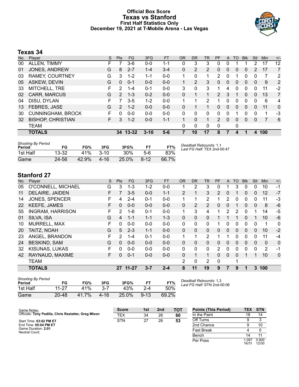### **Official Box Score Texas vs Stanford First Half Statistics Only December 19, 2021 at T-Mobile Arena - Las Vegas**



# **Texas 34**

| No. | Player                   | S  | <b>Pts</b>     | FG.      | 3FG      | <b>FT</b> | <b>OR</b> | <b>DR</b>      | <b>TR</b>      | PF            | A        | <b>TO</b> | <b>B</b> lk | Stl          | Min | $+/-$ |
|-----|--------------------------|----|----------------|----------|----------|-----------|-----------|----------------|----------------|---------------|----------|-----------|-------------|--------------|-----|-------|
| 00  | ALLEN, TIMMY             |    |                | 3-6      | $0 - 0$  | 1-1       | 0         | 3              | 3              | 0             | 0        |           |             | 2            | 17  | 12    |
| 01  | JONES, ANDREW            | G  | 8              | $2 - 7$  | $1 - 4$  | $3 - 4$   | 0         | $\overline{2}$ | $\overline{2}$ | 0             | 0        | 0         | 0           | 2            | 17  | 7     |
| 03  | <b>RAMEY, COURTNEY</b>   | G  | 3              | $1 - 2$  | $1 - 1$  | $0 - 0$   | 1         | 0              |                | 2             | 0        |           | 0           | 0            | 7   | 2     |
| 05  | <b>ASKEW, DEVIN</b>      | G  | 0              | $0 - 1$  | $0 - 0$  | $0 - 0$   | 1         | 2              | 3              | 0             | 0        | 0         | $\Omega$    | $\mathbf{0}$ | 9   | 2     |
| 33  | MITCHELL, TRE            | F  | 2              | $1 - 4$  | $0 - 1$  | $0 - 0$   | 3         | 0              | 3              | 1             | 4        | 0         | 0           | 0            | 11  | $-2$  |
| 02  | <b>CARR, MARCUS</b>      | G  | $\overline{2}$ | $1 - 3$  | $0 - 2$  | $0 - 0$   | 0         |                |                | 2             | 3        |           | 0           | $\mathbf{0}$ | 13  | 7     |
| 04  | DISU, DYLAN              | F  | 7              | $3-5$    | $1 - 2$  | $0 - 0$   | 1         | 1              | $\overline{2}$ |               | 0        | 0         | 0           | 0            | 6   | 4     |
| 13  | FEBRES, JASE             | G  | 2              | $1 - 2$  | $0 - 0$  | $0 - 0$   | 0         | 1              |                | 0             | 0        | $\Omega$  | $\Omega$    | $\Omega$     | 11  | 0     |
| 30  | <b>CUNNINGHAM, BROCK</b> | F. | 0              | $0 - 0$  | $0 - 0$  | $0 - 0$   | $\Omega$  | $\Omega$       | $\Omega$       | 0             | 0        |           | 0           | 0            | 1   | -3    |
| 32  | <b>BISHOP, CHRISTIAN</b> | F  | 3              | $1 - 2$  | $0 - 0$  | $1 - 1$   |           | $\Omega$       |                | $\mathcal{P}$ | $\Omega$ | $\Omega$  | $\Omega$    | 0            | 7   | 6     |
|     | <b>TEAM</b>              |    |                |          |          |           | 0         | 0              | 0              | $\mathbf{0}$  |          | 0         |             |              |     |       |
|     | <b>TOTALS</b>            |    |                | 34 13-32 | $3 - 10$ | 5-6       | 7         | 10             | 17             | 8             |          | 4         |             | 4            | 100 |       |
|     |                          |    |                |          |          |           |           |                |                |               |          |           |             |              |     |       |

| <b>Shooting By Period</b><br>Period | FG        | FG%   | 3FG      | 3FG%  | FT       | FT%   | Deadball Rebounds: 1,1<br>Last FG Half: TEX 2nd-00:47 |
|-------------------------------------|-----------|-------|----------|-------|----------|-------|-------------------------------------------------------|
| 1st Half                            | $13 - 32$ | 41%   | $3 - 10$ | 30%   | $5-6$    | 83%   |                                                       |
| Game                                | 24-56     | 42.9% | 4-16     | 25.0% | $8 - 12$ | 66.7% |                                                       |

# **Stanford 27**

| No. | Player                  | S. | <b>Pts</b> | <b>FG</b> | 3FG     | <b>FT</b> | <b>OR</b>      | D <sub>R</sub> | <b>TR</b>      | <b>PF</b>    | A        | TO           | <b>Blk</b> | Stl          | Min      | $+/-$        |
|-----|-------------------------|----|------------|-----------|---------|-----------|----------------|----------------|----------------|--------------|----------|--------------|------------|--------------|----------|--------------|
| 05  | O'CONNELL, MICHAEL      | G  | 3          | $1 - 3$   | $1 - 2$ | $0 - 0$   |                | 2              | 3              | 0            |          | 3            | 0          | 0            | 10       | $-1$         |
| 11  | <b>DELAIRE, JAIDEN</b>  | F  |            | $3-5$     | $0 - 0$ | $1 - 1$   | $\overline{2}$ |                | 3              | 2            | 0        |              | 0          | $\Omega$     | 12       | $-7$         |
| 14  | <b>JONES, SPENCER</b>   | F  | 4          | 2-4       | $0 - 1$ | $0 - 0$   | 1              | 1              | $\overline{2}$ |              | 2        | $\mathbf{0}$ | 0          | 0            | 11       | $-3$         |
| 22  | <b>KEEFE, JAMES</b>     | F. | 0          | $0 - 0$   | $0 - 0$ | $0 - 0$   | $\mathbf{0}$   | 2              | 2              | $\Omega$     | $\Omega$ |              | 0          | $\mathbf{0}$ | 8        | $-6$         |
| 55  | <b>INGRAM, HARRISON</b> | F. | 2          | $1 - 6$   | $0 - 1$ | $0 - 0$   | 1.             | 3              | 4              |              | 2        | 2            | 0          |              | 14       | $-5$         |
| 01  | SILVA, ISA              | G  | 4          | $1 - 1$   | $1 - 1$ | $1 - 3$   | $\Omega$       | 0              | $\Omega$       |              |          |              | 0          |              | 10       | $-6$         |
| 10  | <b>MURRELL, MAX</b>     | F  | 0          | $0 - 0$   | $0 - 0$ | $0 - 0$   | 0              | 0              | $\Omega$       |              | 0        | 0            | 0          | $\Omega$     | 1        | 0            |
| 20  | TAITZ, NOAH             | G  | 5          | $2 - 3$   | $1 - 1$ | $0 - 0$   | $\Omega$       | 0              | $\mathbf{0}$   | 0            | $\Omega$ | $\Omega$     | 0          | $\Omega$     | 10       | $-2$         |
| 23  | ANGEL, BRANDON          | F  | 2          | $1 - 4$   | $0 - 1$ | $0 - 0$   | 1              |                | 2              |              |          | 0            | 0          | 0            | 11       | $-4$         |
| 24  | <b>BESKIND, SAM</b>     | G  | 0          | $0 - 0$   | $0 - 0$ | $0 - 0$   | $\Omega$       | 0              | 0              | 0            | 0        | $\Omega$     | 0          | $\Omega$     | $\Omega$ | $\mathbf 0$  |
| 32  | KISUNAS, LUKAS          | F  | 0          | $0 - 0$   | $0 - 0$ | $0 - 0$   | 0              | 0              | 0              | 2            | 0        | 0            | 0          | $\mathbf 0$  | 2        | -1           |
| 42  | RAYNAUD, MAXIME         | F  | 0          | $0 - 1$   | $0 - 0$ | $0 - 0$   | $\Omega$       | 1              | 1              | $\Omega$     | $\Omega$ | $\Omega$     |            | 1            | 10       | $\mathbf{0}$ |
|     | TEAM                    |    |            |           |         |           | $\overline{2}$ | 0              | 2              | $\mathbf{0}$ |          | 4            |            |              |          |              |
|     | TOTALS                  |    | 27         | $11 - 27$ | $3 - 7$ | $2 - 4$   | 8              | 11             | 19             | 9            |          | 9            | 1          | 3            | 100      |              |

| <b>Shooting By Period</b><br>Period | FG        | FG%   | 3FG      | 3FG%  |          | De<br>FT%<br>La |
|-------------------------------------|-----------|-------|----------|-------|----------|-----------------|
| 1st Half                            | 11-27     | 41%   | $3 - 7$  | 43%   | $2 - 4$  | 50%             |
| Game                                | $20 - 48$ | 41.7% | $4 - 16$ | 25.0% | $9 - 13$ | 69.2%           |

*Deadball Rebounds:* 1,3 *Last FG Half:* STN 2nd-00:06

| Game Notes:                                          | <b>Score</b> | 1st | 2nd | <b>TOT</b> | <b>Points (This Period)</b> | <b>TEX</b>    | <b>STN</b>     |
|------------------------------------------------------|--------------|-----|-----|------------|-----------------------------|---------------|----------------|
| Officials: Tony Padilla, Chris Rastatter, Greg Mixon | <b>TEX</b>   | 34  | 26  | 60         | In the Paint                | 18            | 14             |
| Start Time: 03:02 PM ET                              | <b>STN</b>   | 27  | 26  | 53         | Off Turns                   |               |                |
| End Time: 05:04 PM ET                                |              |     |     |            | 2nd Chance                  |               | 10             |
| Game Duration: 2:01<br>Neutral Court:                |              |     |     |            | <b>Fast Break</b>           |               |                |
|                                                      |              |     |     |            | Bench                       |               |                |
|                                                      |              |     |     |            | Per Poss                    | .097<br>16/31 | 0.900<br>12/30 |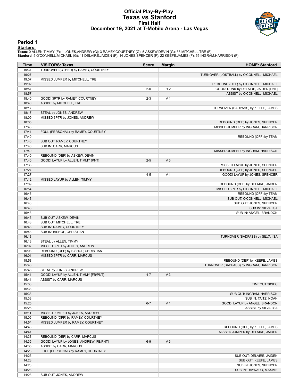#### **Official Play-By-Play Texas vs Stanford First Half December 19, 2021 at T-Mobile Arena - Las Vegas**



#### **Period 1**

<mark>Starters:</mark><br>Texas: 0 ALLEN,TIMMY (F); 1 JONES,ANDREW (G); 3 RAMEY,COURTNEY (G); 5 ASKEW,DEVIN (G); 33 MITCHELL,TRE (F);<br>Stanford: 5 O'CONNELL,MICHAEL (G); 11 DELAIRE,JAIDEN (F); 14 JONES,SPENCER (F); 22 KEEFE,JAMES (F); 5

| Time           | <b>VISITORS: Texas</b>                                             | <b>Score</b> | <b>Margin</b>  | <b>HOME: Stanford</b>                     |
|----------------|--------------------------------------------------------------------|--------------|----------------|-------------------------------------------|
| 19:37          | TURNOVER (OTHER) by RAMEY, COURTNEY                                |              |                |                                           |
| 19:27          |                                                                    |              |                | TURNOVER (LOSTBALL) by O'CONNELL, MICHAEL |
| 19:07          | MISSED JUMPER by MITCHELL, TRE                                     |              |                |                                           |
| 19:02          |                                                                    |              |                | REBOUND (DEF) by O'CONNELL, MICHAEL       |
| 18:57          |                                                                    | $2 - 0$      | H <sub>2</sub> | GOOD! DUNK by DELAIRE, JAIDEN [PNT]       |
| 18:57          |                                                                    |              |                | ASSIST by O'CONNELL, MICHAEL              |
| 18:40          | GOOD! 3PTR by RAMEY, COURTNEY                                      | $2 - 3$      | V <sub>1</sub> |                                           |
| 18:40          | ASSIST by MITCHELL, TRE                                            |              |                |                                           |
| 18:17          |                                                                    |              |                | TURNOVER (BADPASS) by KEEFE, JAMES        |
| 18:17          | STEAL by JONES, ANDREW                                             |              |                |                                           |
| 18:09          | MISSED 3PTR by JONES, ANDREW                                       |              |                |                                           |
| 18:05          |                                                                    |              |                | REBOUND (DEF) by JONES, SPENCER           |
| 17:43          |                                                                    |              |                | MISSED JUMPER by INGRAM, HARRISON         |
| 17:41<br>17:40 | FOUL (PERSONAL) by RAMEY, COURTNEY                                 |              |                | REBOUND (OFF) by TEAM                     |
| 17:40          | SUB OUT: RAMEY, COURTNEY                                           |              |                |                                           |
| 17:40          | SUB IN: CARR, MARCUS                                               |              |                |                                           |
| 17:40          |                                                                    |              |                | MISSED JUMPER by INGRAM, HARRISON         |
| 17:40          | REBOUND (DEF) by ASKEW, DEVIN                                      |              |                |                                           |
| 17:40          | GOOD! LAYUP by ALLEN, TIMMY [PNT]                                  | $2 - 5$      | V <sub>3</sub> |                                           |
| 17:33          |                                                                    |              |                | MISSED LAYUP by JONES, SPENCER            |
| 17:27          |                                                                    |              |                | REBOUND (OFF) by JONES, SPENCER           |
| 17:27          |                                                                    | $4 - 5$      | V <sub>1</sub> | GOOD! LAYUP by JONES, SPENCER             |
| 17:12          | MISSED LAYUP by ALLEN, TIMMY                                       |              |                |                                           |
| 17:09          |                                                                    |              |                | REBOUND (DEF) by DELAIRE, JAIDEN          |
| 16:54          |                                                                    |              |                | MISSED 3PTR by O'CONNELL, MICHAEL         |
| 16:45          |                                                                    |              |                | REBOUND (OFF) by TEAM                     |
| 16:43          |                                                                    |              |                | SUB OUT: O'CONNELL, MICHAEL               |
| 16:43          |                                                                    |              |                | SUB OUT: JONES, SPENCER                   |
| 16:43          |                                                                    |              |                | SUB IN: SILVA, ISA                        |
| 16:43          |                                                                    |              |                | SUB IN: ANGEL, BRANDON                    |
| 16:43          | SUB OUT: ASKEW, DEVIN                                              |              |                |                                           |
| 16:43          | SUB OUT: MITCHELL, TRE                                             |              |                |                                           |
| 16:43          | SUB IN: RAMEY, COURTNEY                                            |              |                |                                           |
| 16:43          | SUB IN: BISHOP, CHRISTIAN                                          |              |                |                                           |
| 16:13          |                                                                    |              |                | TURNOVER (BADPASS) by SILVA, ISA          |
| 16:13          | STEAL by ALLEN, TIMMY                                              |              |                |                                           |
| 16:07<br>16:03 | MISSED 3PTR by JONES, ANDREW<br>REBOUND (OFF) by BISHOP, CHRISTIAN |              |                |                                           |
| 16:01          | MISSED 3PTR by CARR, MARCUS                                        |              |                |                                           |
| 15:58          |                                                                    |              |                | REBOUND (DEF) by KEEFE, JAMES             |
| 15:46          |                                                                    |              |                | TURNOVER (BADPASS) by INGRAM, HARRISON    |
| 15:46          | STEAL by JONES, ANDREW                                             |              |                |                                           |
| 15:41          | GOOD! LAYUP by ALLEN, TIMMY [FB/PNT]                               | $4 - 7$      | V <sub>3</sub> |                                           |
| 15:41          | ASSIST by CARR, MARCUS                                             |              |                |                                           |
| 15:33          |                                                                    |              |                | TIMEOUT 30SEC                             |
| 15:33          |                                                                    |              |                |                                           |
| 15:33          |                                                                    |              |                | SUB OUT: INGRAM, HARRISON                 |
| 15:33          |                                                                    |              |                | SUB IN: TAITZ, NOAH                       |
| 15:25          |                                                                    | $6 - 7$      | V <sub>1</sub> | GOOD! LAYUP by ANGEL, BRANDON             |
| 15:25          |                                                                    |              |                | ASSIST by SILVA, ISA                      |
| 15:11          | MISSED JUMPER by JONES, ANDREW                                     |              |                |                                           |
| 15:05          | REBOUND (OFF) by RAMEY, COURTNEY                                   |              |                |                                           |
| 14:54          | MISSED JUMPER by RAMEY, COURTNEY                                   |              |                |                                           |
| 14:48          |                                                                    |              |                | REBOUND (DEF) by KEEFE, JAMES             |
| 14:41          |                                                                    |              |                | MISSED JUMPER by DELAIRE, JAIDEN          |
| 14:38          | REBOUND (DEF) by CARR, MARCUS                                      |              |                |                                           |
| 14:35          | GOOD! LAYUP by JONES, ANDREW [FB/PNT]                              | $6-9$        | $V_3$          |                                           |
| 14:35          | ASSIST by CARR, MARCUS                                             |              |                |                                           |
| 14:23          | FOUL (PERSONAL) by RAMEY, COURTNEY                                 |              |                |                                           |
| 14:23          |                                                                    |              |                | SUB OUT: DELAIRE, JAIDEN                  |
| 14:23          |                                                                    |              |                | SUB OUT: KEEFE, JAMES                     |
| 14:23          |                                                                    |              |                | SUB IN: JONES, SPENCER                    |
| 14:23          |                                                                    |              |                | SUB IN: RAYNAUD, MAXIME                   |
| 14:23          | SUB OUT: JONES, ANDREW                                             |              |                |                                           |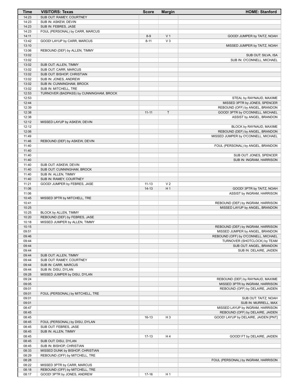| Time           | <b>VISITORS: Texas</b>                                        | <b>Score</b> | <b>Margin</b>  | <b>HOME: Stanford</b>                |
|----------------|---------------------------------------------------------------|--------------|----------------|--------------------------------------|
| 14:23          | SUB OUT: RAMEY, COURTNEY                                      |              |                |                                      |
| 14:23          | SUB IN: ASKEW, DEVIN                                          |              |                |                                      |
| 14:23          | SUB IN: FEBRES, JASE                                          |              |                |                                      |
| 14:23          | FOUL (PERSONAL) by CARR, MARCUS                               |              |                |                                      |
| 14:11          |                                                               | $8-9$        | V <sub>1</sub> | GOOD! JUMPER by TAITZ, NOAH          |
| 13:42          | GOOD! LAYUP by CARR, MARCUS                                   | $8 - 11$     | $V_3$          |                                      |
| 13:10          |                                                               |              |                | MISSED JUMPER by TAITZ, NOAH         |
| 13:06          | REBOUND (DEF) by ALLEN, TIMMY                                 |              |                |                                      |
| 13:02          |                                                               |              |                | SUB OUT: SILVA, ISA                  |
| 13:02          |                                                               |              |                | SUB IN: O'CONNELL, MICHAEL           |
| 13:02<br>13:02 | SUB OUT: ALLEN, TIMMY<br>SUB OUT: CARR, MARCUS                |              |                |                                      |
| 13:02          | SUB OUT: BISHOP, CHRISTIAN                                    |              |                |                                      |
| 13:02          | SUB IN: JONES, ANDREW                                         |              |                |                                      |
| 13:02          | SUB IN: CUNNINGHAM, BROCK                                     |              |                |                                      |
| 13:02          | SUB IN: MITCHELL, TRE                                         |              |                |                                      |
| 12:53          | TURNOVER (BADPASS) by CUNNINGHAM, BROCK                       |              |                |                                      |
| 12:53          |                                                               |              |                | STEAL by RAYNAUD, MAXIME             |
| 12:44          |                                                               |              |                | MISSED 3PTR by JONES, SPENCER        |
| 12:39          |                                                               |              |                | REBOUND (OFF) by ANGEL, BRANDON      |
| 12:38          |                                                               | $11 - 11$    | $\mathsf{T}$   | GOOD! 3PTR by O'CONNELL, MICHAEL     |
| 12:38          |                                                               |              |                | ASSIST by ANGEL, BRANDON             |
| 12:12          | MISSED LAYUP by ASKEW, DEVIN                                  |              |                |                                      |
| 12:12          |                                                               |              |                | BLOCK by RAYNAUD, MAXIME             |
| 12:06          |                                                               |              |                | REBOUND (DEF) by ANGEL, BRANDON      |
| 11:49          |                                                               |              |                | MISSED JUMPER by O'CONNELL, MICHAEL  |
| 11:46          | REBOUND (DEF) by ASKEW, DEVIN                                 |              |                |                                      |
| 11:40          |                                                               |              |                | FOUL (PERSONAL) by ANGEL, BRANDON    |
| 11:40          |                                                               |              |                |                                      |
| 11:40          |                                                               |              |                | SUB OUT: JONES, SPENCER              |
| 11:40          |                                                               |              |                | SUB IN: INGRAM, HARRISON             |
| 11:40          | SUB OUT: ASKEW, DEVIN                                         |              |                |                                      |
| 11:40          | SUB OUT: CUNNINGHAM, BROCK                                    |              |                |                                      |
| 11:40          | SUB IN: ALLEN, TIMMY                                          |              |                |                                      |
| 11:40          | SUB IN: RAMEY, COURTNEY                                       |              |                |                                      |
| 11:21          | GOOD! JUMPER by FEBRES, JASE                                  | $11 - 13$    | V <sub>2</sub> |                                      |
| 11:06          |                                                               | $14 - 13$    | H <sub>1</sub> | GOOD! 3PTR by TAITZ, NOAH            |
| 11:06          |                                                               |              |                | ASSIST by INGRAM, HARRISON           |
| 10:45          | MISSED 3PTR by MITCHELL, TRE                                  |              |                |                                      |
| 10:41          |                                                               |              |                | REBOUND (DEF) by INGRAM, HARRISON    |
| 10:25          |                                                               |              |                | MISSED LAYUP by ANGEL, BRANDON       |
| 10:25<br>10:20 | BLOCK by ALLEN, TIMMY                                         |              |                |                                      |
| 10:18          | REBOUND (DEF) by FEBRES, JASE                                 |              |                |                                      |
| 10:15          | MISSED JUMPER by ALLEN, TIMMY                                 |              |                | REBOUND (DEF) by INGRAM, HARRISON    |
| 09:51          |                                                               |              |                | MISSED JUMPER by ANGEL, BRANDON      |
| 09:46          |                                                               |              |                | REBOUND (OFF) by O'CONNELL, MICHAEL  |
| 09:44          |                                                               |              |                | TURNOVER (SHOTCLOCK) by TEAM         |
| 09:44          |                                                               |              |                | SUB OUT: ANGEL, BRANDON              |
| 09:44          |                                                               |              |                | SUB IN: DELAIRE, JAIDEN              |
| 09:44          | SUB OUT: ALLEN, TIMMY                                         |              |                |                                      |
| 09:44          | SUB OUT: RAMEY, COURTNEY                                      |              |                |                                      |
| 09:44          | SUB IN: CARR, MARCUS                                          |              |                |                                      |
| 09:44          | SUB IN: DISU, DYLAN                                           |              |                |                                      |
| 09:28          | MISSED JUMPER by DISU, DYLAN                                  |              |                |                                      |
| 09:24          |                                                               |              |                | REBOUND (DEF) by RAYNAUD, MAXIME     |
| 09:05          |                                                               |              |                | MISSED 3PTR by INGRAM, HARRISON      |
| 09:01          |                                                               |              |                | REBOUND (OFF) by DELAIRE, JAIDEN     |
| 09:01          | FOUL (PERSONAL) by MITCHELL, TRE                              |              |                |                                      |
| 09:01          |                                                               |              |                | SUB OUT: TAITZ, NOAH                 |
| 09:01          |                                                               |              |                | SUB IN: MURRELL, MAX                 |
| 08:47          |                                                               |              |                | MISSED LAYUP by INGRAM, HARRISON     |
| 08:45          |                                                               |              |                | REBOUND (OFF) by DELAIRE, JAIDEN     |
| 08:45          |                                                               | $16-13$      | H <sub>3</sub> | GOOD! LAYUP by DELAIRE, JAIDEN [PNT] |
| 08:45          | FOUL (PERSONAL) by DISU, DYLAN                                |              |                |                                      |
| 08:45          | SUB OUT: FEBRES, JASE                                         |              |                |                                      |
| 08:45          | SUB IN: ALLEN, TIMMY                                          |              |                |                                      |
| 08:45          |                                                               | $17 - 13$    | H4             | GOOD! FT by DELAIRE, JAIDEN          |
| 08:45          | SUB OUT: DISU, DYLAN                                          |              |                |                                      |
| 08:45          | SUB IN: BISHOP, CHRISTIAN                                     |              |                |                                      |
| 08:33          | MISSED DUNK by BISHOP, CHRISTIAN                              |              |                |                                      |
| 08:29          | REBOUND (OFF) by MITCHELL, TRE                                |              |                |                                      |
| 08:28          |                                                               |              |                | FOUL (PERSONAL) by INGRAM, HARRISON  |
| 08:22<br>08:18 | MISSED 3PTR by CARR, MARCUS<br>REBOUND (OFF) by MITCHELL, TRE |              |                |                                      |
| 08:17          | GOOD! 3PTR by JONES, ANDREW                                   | $17 - 16$    | H <sub>1</sub> |                                      |
|                |                                                               |              |                |                                      |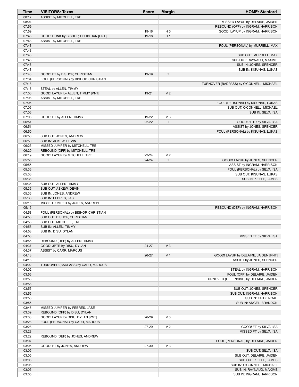| <b>Time</b>    | <b>VISITORS: Texas</b>                                           | <b>Score</b> | <b>Margin</b>  | <b>HOME: Stanford</b>                                |
|----------------|------------------------------------------------------------------|--------------|----------------|------------------------------------------------------|
| 08:17          | ASSIST by MITCHELL, TRE                                          |              |                |                                                      |
| 08:04          |                                                                  |              |                | MISSED LAYUP by DELAIRE, JAIDEN                      |
| 07:59          |                                                                  |              |                | REBOUND (OFF) by INGRAM, HARRISON                    |
| 07:59          |                                                                  | 19-16        | H <sub>3</sub> | GOOD! LAYUP by INGRAM, HARRISON                      |
| 07:48          | GOOD! DUNK by BISHOP, CHRISTIAN [PNT]<br>ASSIST by MITCHELL, TRE | 19-18        | H <sub>1</sub> |                                                      |
| 07:48<br>07:48 |                                                                  |              |                | FOUL (PERSONAL) by MURRELL, MAX                      |
| 07:48          |                                                                  |              |                |                                                      |
| 07:48          |                                                                  |              |                | SUB OUT: MURRELL, MAX                                |
| 07:48          |                                                                  |              |                | SUB OUT: RAYNAUD, MAXIME                             |
| 07:48          |                                                                  |              |                | SUB IN: JONES, SPENCER                               |
| 07:48          |                                                                  |              |                | SUB IN: KISUNAS, LUKAS                               |
| 07:48          | GOOD! FT by BISHOP, CHRISTIAN                                    | 19-19        | $\mathsf T$    |                                                      |
| 07:34          | FOUL (PERSONAL) by BISHOP, CHRISTIAN                             |              |                |                                                      |
| 07:18          |                                                                  |              |                | TURNOVER (BADPASS) by O'CONNELL, MICHAEL             |
| 07:18<br>07:06 | STEAL by ALLEN, TIMMY<br>GOOD! LAYUP by ALLEN, TIMMY [PNT]       | 19-21        | V <sub>2</sub> |                                                      |
| 07:06          | ASSIST by MITCHELL, TRE                                          |              |                |                                                      |
| 07:06          |                                                                  |              |                | FOUL (PERSONAL) by KISUNAS, LUKAS                    |
| 07:06          |                                                                  |              |                | SUB OUT: O'CONNELL, MICHAEL                          |
| 07:06          |                                                                  |              |                | SUB IN: SILVA, ISA                                   |
| 07:06          | GOOD! FT by ALLEN, TIMMY                                         | 19-22        | $V_3$          |                                                      |
| 06:51          |                                                                  | $22 - 22$    | $\top$         | GOOD! 3PTR by SILVA, ISA                             |
| 06:51          |                                                                  |              |                | ASSIST by JONES, SPENCER                             |
| 06:50          |                                                                  |              |                | FOUL (PERSONAL) by KISUNAS, LUKAS                    |
| 06:50          | SUB OUT: JONES, ANDREW                                           |              |                |                                                      |
| 06:50<br>06:23 | SUB IN: ASKEW, DEVIN<br>MISSED JUMPER by MITCHELL, TRE           |              |                |                                                      |
| 06:20          | REBOUND (OFF) by MITCHELL, TRE                                   |              |                |                                                      |
| 06:19          | GOOD! LAYUP by MITCHELL, TRE                                     | $22 - 24$    | V <sub>2</sub> |                                                      |
| 05:55          |                                                                  | 24-24        | T              | GOOD! LAYUP by JONES, SPENCER                        |
| 05:55          |                                                                  |              |                | ASSIST by INGRAM, HARRISON                           |
| 05:36          |                                                                  |              |                | FOUL (PERSONAL) by SILVA, ISA                        |
| 05:36          |                                                                  |              |                | SUB OUT: KISUNAS, LUKAS                              |
| 05:36          |                                                                  |              |                | SUB IN: KEEFE, JAMES                                 |
| 05:36          | SUB OUT: ALLEN, TIMMY                                            |              |                |                                                      |
| 05:36          | SUB OUT: ASKEW, DEVIN                                            |              |                |                                                      |
| 05:36<br>05:36 | SUB IN: JONES, ANDREW<br>SUB IN: FEBRES, JASE                    |              |                |                                                      |
| 05:18          | MISSED JUMPER by JONES, ANDREW                                   |              |                |                                                      |
| 05:15          |                                                                  |              |                | REBOUND (DEF) by INGRAM, HARRISON                    |
| 04:58          | FOUL (PERSONAL) by BISHOP, CHRISTIAN                             |              |                |                                                      |
| 04:58          | SUB OUT: BISHOP, CHRISTIAN                                       |              |                |                                                      |
| 04:58          | SUB OUT: MITCHELL, TRE                                           |              |                |                                                      |
| 04:58          | SUB IN: ALLEN, TIMMY                                             |              |                |                                                      |
| 04:58          | SUB IN: DISU, DYLAN                                              |              |                |                                                      |
| 04:58          |                                                                  |              |                | MISSED FT by SILVA, ISA                              |
| 04:56<br>04:37 | REBOUND (DEF) by ALLEN, TIMMY<br>GOOD! 3PTR by DISU, DYLAN       | 24-27        | $V_3$          |                                                      |
| 04:37          | ASSIST by CARR, MARCUS                                           |              |                |                                                      |
| 04:13          |                                                                  | 26-27        | V <sub>1</sub> | GOOD! LAYUP by DELAIRE, JAIDEN [PNT]                 |
| 04:13          |                                                                  |              |                | ASSIST by JONES, SPENCER                             |
| 04:02          | TURNOVER (BADPASS) by CARR, MARCUS                               |              |                |                                                      |
| 04:02          |                                                                  |              |                | STEAL by INGRAM, HARRISON                            |
| 03:56          |                                                                  |              |                | FOUL (OFF) by DELAIRE, JAIDEN                        |
| 03:56          |                                                                  |              |                | TURNOVER (OFFENSIVE) by DELAIRE, JAIDEN              |
| 03:56          |                                                                  |              |                |                                                      |
| 03:56<br>03:56 |                                                                  |              |                | SUB OUT: JONES, SPENCER<br>SUB OUT: INGRAM, HARRISON |
| 03:56          |                                                                  |              |                | SUB IN: TAITZ, NOAH                                  |
| 03:56          |                                                                  |              |                | SUB IN: ANGEL, BRANDON                               |
| 03:45          | MISSED JUMPER by FEBRES, JASE                                    |              |                |                                                      |
| 03:39          | REBOUND (OFF) by DISU, DYLAN                                     |              |                |                                                      |
| 03:38          | GOOD! LAYUP by DISU, DYLAN [PNT]                                 | 26-29        | V <sub>3</sub> |                                                      |
| 03:28          | FOUL (PERSONAL) by CARR, MARCUS                                  |              |                |                                                      |
| 03:28          |                                                                  | 27-29        | V <sub>2</sub> | GOOD! FT by SILVA, ISA                               |
| 03:28          |                                                                  |              |                | MISSED FT by SILVA, ISA                              |
| 03:22<br>03:07 | REBOUND (DEF) by JONES, ANDREW                                   |              |                | FOUL (PERSONAL) by DELAIRE, JAIDEN                   |
| 03:05          | GOOD! FT by JONES, ANDREW                                        | 27-30        | $V_3$          |                                                      |
| 03:05          |                                                                  |              |                | SUB OUT: SILVA, ISA                                  |
| 03:05          |                                                                  |              |                | SUB OUT: DELAIRE, JAIDEN                             |
| 03:05          |                                                                  |              |                | SUB OUT: KEEFE, JAMES                                |
| 03:05          |                                                                  |              |                | SUB IN: O'CONNELL, MICHAEL                           |
| 03:05          |                                                                  |              |                | SUB IN: RAYNAUD, MAXIME                              |
| 03:05          |                                                                  |              |                | SUB IN: INGRAM, HARRISON                             |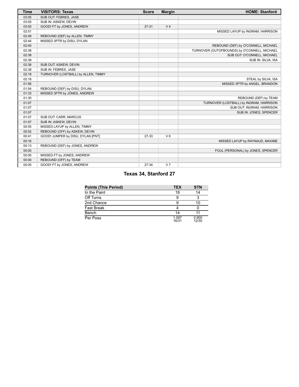| <b>Time</b> | <b>VISITORS: Texas</b>              | <b>Score</b> | <b>Margin</b>  | <b>HOME: Stanford</b>                        |
|-------------|-------------------------------------|--------------|----------------|----------------------------------------------|
| 03:05       | SUB OUT: FEBRES, JASE               |              |                |                                              |
| 03:05       | SUB IN: ASKEW, DEVIN                |              |                |                                              |
| 03:05       | GOOD! FT by JONES, ANDREW           | $27 - 31$    | V <sub>4</sub> |                                              |
| 02:51       |                                     |              |                | MISSED LAYUP by INGRAM, HARRISON             |
| 02:48       | REBOUND (DEF) by ALLEN, TIMMY       |              |                |                                              |
| 02:44       | MISSED 3PTR by DISU, DYLAN          |              |                |                                              |
| 02:40       |                                     |              |                | REBOUND (DEF) by O'CONNELL, MICHAEL          |
| 02:38       |                                     |              |                | TURNOVER (OUTOFBOUNDS) by O'CONNELL, MICHAEL |
| 02:38       |                                     |              |                | SUB OUT: O'CONNELL, MICHAEL                  |
| 02:38       |                                     |              |                | SUB IN: SILVA, ISA                           |
| 02:38       | SUB OUT: ASKEW, DEVIN               |              |                |                                              |
| 02:38       | SUB IN: FEBRES, JASE                |              |                |                                              |
| 02:18       | TURNOVER (LOSTBALL) by ALLEN, TIMMY |              |                |                                              |
| 02:18       |                                     |              |                | STEAL by SILVA, ISA                          |
| 01:56       |                                     |              |                | MISSED 3PTR by ANGEL, BRANDON                |
| 01:54       | REBOUND (DEF) by DISU, DYLAN        |              |                |                                              |
| 01:33       | MISSED 3PTR by JONES, ANDREW        |              |                |                                              |
| 01:30       |                                     |              |                | REBOUND (DEF) by TEAM                        |
| 01:07       |                                     |              |                | TURNOVER (LOSTBALL) by INGRAM, HARRISON      |
| 01:07       |                                     |              |                | SUB OUT: INGRAM, HARRISON                    |
| 01:07       |                                     |              |                | SUB IN: JONES, SPENCER                       |
| 01:07       | SUB OUT: CARR, MARCUS               |              |                |                                              |
| 01:07       | SUB IN: ASKEW, DEVIN                |              |                |                                              |
| 00:55       | MISSED LAYUP by ALLEN, TIMMY        |              |                |                                              |
| 00:52       | REBOUND (OFF) by ASKEW, DEVIN       |              |                |                                              |
| 00:41       | GOOD! JUMPER by DISU, DYLAN [PNT]   | 27-33        | $V_6$          |                                              |
| 00:16       |                                     |              |                | MISSED LAYUP by RAYNAUD, MAXIME              |
| 00:13       | REBOUND (DEF) by JONES, ANDREW      |              |                |                                              |
| 00:00       |                                     |              |                | FOUL (PERSONAL) by JONES, SPENCER            |
| 00:00       | MISSED FT by JONES, ANDREW          |              |                |                                              |
| 00:00       | REBOUND (OFF) by TEAM               |              |                |                                              |
| 00:00       | GOOD! FT by JONES, ANDREW           | 27-34        | V <sub>7</sub> |                                              |

# **Texas 34, Stanford 27**

| <b>Points (This Period)</b> | <b>TEX</b>     | <b>STN</b>     |
|-----------------------------|----------------|----------------|
| In the Paint                | 18             | 14             |
| Off Turns                   | 9              | ≏              |
| 2nd Chance                  | 9              | 10             |
| <b>Fast Break</b>           |                |                |
| Bench                       | 14             |                |
| Per Poss                    | 1.097<br>16/31 | 0.900<br>12/30 |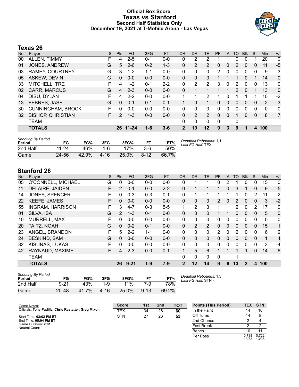### **Official Box Score Texas vs Stanford Second Half Statistics Only December 19, 2021 at T-Mobile Arena - Las Vegas**



# **Texas 26**

| No. | Player                   | S  | <b>Pts</b>    | FG       | 3FG     | <b>FT</b> | <b>OR</b> | <b>DR</b> | <b>TR</b>      | PF       | A        | TO            | <b>Blk</b>   | Stl          | Min            | $+/-$          |
|-----|--------------------------|----|---------------|----------|---------|-----------|-----------|-----------|----------------|----------|----------|---------------|--------------|--------------|----------------|----------------|
| 00  | ALLEN, TIMMY             | F  | 4             | $2 - 5$  | $0 - 1$ | $0-0$     | 0         | 2         | 2              |          |          | 0             |              |              | 20             | 0              |
| 01  | JONES, ANDREW            | G  | 5             | $2 - 6$  | $0 - 2$ | $1 - 3$   | 0         | 2         | $\overline{2}$ | 0        | 0        | 2             | 0            | 0            | 11             | -5             |
| 03  | <b>RAMEY, COURTNEY</b>   | G  | 3             | $1 - 2$  | $1 - 1$ | $0 - 0$   | 0         | 0         | 0              | 2        | $\Omega$ | 0             | $\mathbf 0$  | 0            | 9              | -3             |
| 05  | <b>ASKEW, DEVIN</b>      | G  | $\Omega$      | $0 - 0$  | $0 - 0$ | $0 - 0$   | $\Omega$  | $\Omega$  | 0              |          |          |               | 0            |              | 14             | 0              |
| 33  | MITCHELL, TRE            | F  | 4             | $1 - 2$  | $0 - 1$ | $2 - 2$   | 0         | 2         | $\overline{2}$ | 3        | 0        | 2             | 0            | 0            | 13             | 0              |
| 02  | <b>CARR, MARCUS</b>      | G  | 4             | $2 - 3$  | $0 - 0$ | $0 - 0$   | 0         | 1         |                |          | 1        | $\mathcal{P}$ | $\Omega$     | 1            | 13             | 0              |
| 04  | DISU, DYLAN              | F  | 4             | $2 - 2$  | $0 - 0$ | $0 - 0$   | 1         | 1         | 2              | 1        | 0        |               |              |              | 10             | $-2$           |
| 13  | FEBRES, JASE             | G  | $\Omega$      | $0 - 1$  | $0 - 1$ | $0 - 1$   |           | $\Omega$  |                | 0        | 0        | $\Omega$      | $\mathbf{0}$ | $\mathbf{0}$ | $\overline{2}$ | 3              |
| 30  | <b>CUNNINGHAM, BROCK</b> | F. | 0             | $0 - 0$  | $0 - 0$ | $0 - 0$   | 0         | 0         | 0              | 0        | 0        | 0             | $\mathbf 0$  | 0            | 0              | 0              |
| 32  | <b>BISHOP, CHRISTIAN</b> | F. | $\mathcal{P}$ | $1 - 3$  | $0 - 0$ | $0 - 0$   | 0         | 2         | $\overline{2}$ | $\Omega$ | 0        |               | 0            | $\mathbf{0}$ | 8              | $\overline{7}$ |
|     | TEAM                     |    |               |          |         |           | 0         | 0         | 0              | 0        |          | 0             |              |              |                |                |
|     | <b>TOTALS</b>            |    |               | 26 11-24 | 1-6     | $3 - 6$   | 2         | 10        | 12             | 9        | 3        | 9             | 1            | 4            | 100            |                |
|     |                          |    |               |          |         |           |           |           |                |          |          |               |              |              |                |                |

| <b>Shooting By Period</b><br>Period | FG    | FG%   | 3FG      | 3FG%  | FТ       | FT%   | Deadball Rebounds: 1,1<br>Last FG Half: TEX - |
|-------------------------------------|-------|-------|----------|-------|----------|-------|-----------------------------------------------|
| 2nd Half                            | 11-24 | 46%   | 1-6      | 17%   | $3-6$    | 50%   |                                               |
| Game                                | 24-56 | 42.9% | $4 - 16$ | 25.0% | $8 - 12$ | 66.7% |                                               |

# **Stanford 26**

| No. | Plaver                  | S | Pts           | <b>FG</b> | 3FG     | <b>FT</b> | <b>OR</b>      | <b>DR</b> | TR           | PF       | A        | TO. | <b>BIK</b>   | Stl      | Min | $+/-$          |
|-----|-------------------------|---|---------------|-----------|---------|-----------|----------------|-----------|--------------|----------|----------|-----|--------------|----------|-----|----------------|
| 05  | O'CONNELL, MICHAEL      | G | 0             | $0 - 0$   | $0 - 0$ | $0 - 0$   | 0              |           |              | 0        | 2        |     | 0            | 0        | 15  | $\mathbf{0}$   |
| 11  | <b>DELAIRE, JAIDEN</b>  | F | 2             | $0 - 1$   | $0 - 0$ | $2 - 2$   | 0              |           |              |          | 0        | 3   | 1            | 0        | 9   | $-5$           |
| 14  | <b>JONES, SPENCER</b>   | F | 0             | $0 - 3$   | $0 - 3$ | $0 - 1$   | $\Omega$       |           | 1            |          |          | 1   | $\mathbf{0}$ | 2        | 11  | $-2$           |
| 22  | <b>KEEFE, JAMES</b>     | F | 0             | $0 - 0$   | $0 - 0$ | $0 - 0$   | $\Omega$       | 0         | $\mathbf{0}$ | 2        | 0        | 2   | $\mathbf{0}$ | 0        | 3   | $-2$           |
| 55  | <b>INGRAM, HARRISON</b> | F | 13            | $4 - 7$   | $0 - 3$ | $5 - 5$   |                | 2         | 3            |          |          | 2   | $\Omega$     | 2        | 17  | $\mathbf 0$    |
| 01  | SILVA, ISA              | G | $\mathcal{P}$ | $1 - 3$   | $0 - 1$ | $0 - 0$   | $\mathbf{0}$   | 0         | $\mathbf{0}$ |          |          | 0   | $\mathbf{0}$ | 0        | 5   | $\mathbf 0$    |
| 10  | <b>MURRELL, MAX</b>     | F | 0             | $0 - 0$   | $0 - 0$ | $0 - 0$   | $\Omega$       | 0         | $\mathbf{0}$ | $\Omega$ | $\Omega$ | 0   | $\Omega$     | $\Omega$ | 0   | $\mathbf{0}$   |
| 20  | TAITZ, NOAH             | G | 0             | $0 - 2$   | $0 - 1$ | $0 - 0$   | $\Omega$       | 2         | 2            | $\Omega$ | $\Omega$ | 0   | $\mathbf{0}$ | $\Omega$ | 15  | 1              |
| 23  | ANGEL, BRANDON          | F | 5             | $2 - 2$   | $1 - 1$ | $0 - 0$   | $\Omega$       | 0         | $\Omega$     | 2        | 0        | 2   | $\Omega$     | $\Omega$ | 6   | 2              |
| 24  | <b>BESKIND, SAM</b>     | G | 0             | $0 - 0$   | $0 - 0$ | $0 - 0$   | $\Omega$       | 0         | $\mathbf{0}$ | $\Omega$ | $\Omega$ | 0   | $\Omega$     | $\Omega$ | 1   | $\overline{4}$ |
| 32  | <b>KISUNAS, LUKAS</b>   | F | 0             | $0 - 0$   | $0 - 0$ | $0 - 0$   | $\Omega$       | 0         | $\Omega$     | $\Omega$ | 0        | 0   | $\Omega$     | $\Omega$ | 3   | -4             |
| 42  | RAYNAUD, MAXIME         | F | 4             | $2 - 3$   | $0 - 0$ | $0 - 1$   |                | 5         | 6            |          |          |     | 1            | $\Omega$ | 14  | 6              |
|     | <b>TEAM</b>             |   |               |           |         |           | 0              | 0         | $\Omega$     | $\Omega$ |          | 1   |              |          |     |                |
|     | <b>TOTALS</b>           |   | 26            | $9 - 21$  | $1 - 9$ | $7-9$     | $\overline{2}$ | 12        | 14           | 9        | 6        | 13  | $\mathbf{2}$ | 4        | 100 |                |

| <b>Shooting By Period</b><br>Period | FG        | FG%   | 3FG      | 3FG%  | FT       | FT%   | Deadball Rebounds: 1,3<br>Last FG Half: STN - |
|-------------------------------------|-----------|-------|----------|-------|----------|-------|-----------------------------------------------|
| 2nd Half                            | 9-21      | 43%   | 1-9      | 11%   | 7-9      | 78%   |                                               |
| Game                                | $20 - 48$ | 41.7% | $4 - 16$ | 25.0% | $9 - 13$ | 69.2% |                                               |

**Points (This Period) TEX STN** In the Paint 14 10 Off Turns 14 8 2nd Chance 2 4 Fast Break 2 2 Bench 10 11 0.722 13/36

| Game Notes:                                          | <b>Score</b> | 1st | 2 <sub>nd</sub> | тот | <b>Points (This Period)</b> | TEX S          |           |
|------------------------------------------------------|--------------|-----|-----------------|-----|-----------------------------|----------------|-----------|
| Officials: Tony Padilla, Chris Rastatter, Greg Mixon | TEX          | 34  | 26              | 60  | In the Paint                | 14             |           |
| Start Time: 03:02 PM ET                              | <b>STN</b>   | 27  | 26              | 53  | Off Turns                   |                |           |
| End Time: 05:04 PM ET                                |              |     |                 |     | 2nd Chance                  |                |           |
| Game Duration: 2:01<br>Neutral Court:                |              |     |                 |     | <b>Fast Break</b>           |                |           |
|                                                      |              |     |                 |     | Bench                       |                |           |
|                                                      |              |     |                 |     | Per Poss                    | 0.788<br>13/33 | 0.<br>-13 |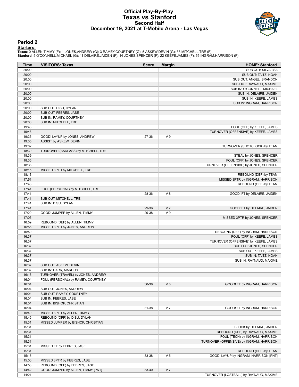#### **Official Play-By-Play Texas vs Stanford Second Half December 19, 2021 at T-Mobile Arena - Las Vegas**



#### **Period 2**

<mark>Starters:</mark><br>Texas: 0 ALLEN,TIMMY (F); 1 JONES,ANDREW (G); 3 RAMEY,COURTNEY (G); 5 ASKEW,DEVIN (G); 33 MITCHELL,TRE (F);<br>Stanford: 5 O'CONNELL,MICHAEL (G); 11 DELAIRE,JAIDEN (F); 14 JONES,SPENCER (F); 22 KEEFE,JAMES (F); 5

| Time           | <b>VISITORS: Texas</b>              | <b>Score</b> | <b>Margin</b>  | <b>HOME: Stanford</b>                                        |
|----------------|-------------------------------------|--------------|----------------|--------------------------------------------------------------|
| 20:00          |                                     |              |                | SUB OUT: SILVA, ISA                                          |
| 20:00          |                                     |              |                | SUB OUT: TAITZ, NOAH                                         |
| 20:00          |                                     |              |                | SUB OUT: ANGEL, BRANDON                                      |
| 20:00          |                                     |              |                | SUB OUT: RAYNAUD, MAXIME                                     |
| 20:00          |                                     |              |                | SUB IN: O'CONNELL, MICHAEL                                   |
| 20:00          |                                     |              |                | SUB IN: DELAIRE, JAIDEN                                      |
| 20:00          |                                     |              |                | SUB IN: KEEFE, JAMES                                         |
| 20:00          |                                     |              |                | SUB IN: INGRAM, HARRISON                                     |
| 20:00          | SUB OUT: DISU, DYLAN                |              |                |                                                              |
| 20:00          | SUB OUT: FEBRES, JASE               |              |                |                                                              |
| 20:00          | SUB IN: RAMEY, COURTNEY             |              |                |                                                              |
| 20:00          | SUB IN: MITCHELL, TRE               |              |                |                                                              |
| 19:48          |                                     |              |                | FOUL (OFF) by KEEFE, JAMES                                   |
| 19:48<br>19:35 | GOOD! LAYUP by JONES, ANDREW        | 27-36        | V <sub>9</sub> | TURNOVER (OFFENSIVE) by KEEFE, JAMES                         |
| 19:35          | ASSIST by ASKEW, DEVIN              |              |                |                                                              |
| 19:02          |                                     |              |                | TURNOVER (SHOTCLOCK) by TEAM                                 |
| 18:39          | TURNOVER (BADPASS) by MITCHELL, TRE |              |                |                                                              |
| 18:39          |                                     |              |                | STEAL by JONES, SPENCER                                      |
| 18:35          |                                     |              |                | FOUL (OFF) by JONES, SPENCER                                 |
| 18:35          |                                     |              |                | TURNOVER (OFFENSIVE) by JONES, SPENCER                       |
| 18:15          | MISSED 3PTR by MITCHELL, TRE        |              |                |                                                              |
| 18:13          |                                     |              |                | REBOUND (DEF) by TEAM                                        |
| 17:51          |                                     |              |                | MISSED 3PTR by INGRAM, HARRISON                              |
| 17:48          |                                     |              |                | REBOUND (OFF) by TEAM                                        |
| 17:41          | FOUL (PERSONAL) by MITCHELL, TRE    |              |                |                                                              |
| 17:41          |                                     | 28-36        | V8             | GOOD! FT by DELAIRE, JAIDEN                                  |
| 17:41          | SUB OUT: MITCHELL, TRE              |              |                |                                                              |
| 17:41          | SUB IN: DISU, DYLAN                 |              |                |                                                              |
| 17:41          |                                     | 29-36        | V <sub>7</sub> | GOOD! FT by DELAIRE, JAIDEN                                  |
| 17:20          | GOOD! JUMPER by ALLEN, TIMMY        | 29-38        | V <sub>9</sub> |                                                              |
| 17:03          |                                     |              |                | MISSED 3PTR by JONES, SPENCER                                |
| 16:59          | REBOUND (DEF) by ALLEN, TIMMY       |              |                |                                                              |
| 16:55          | MISSED 3PTR by JONES, ANDREW        |              |                |                                                              |
| 16:50          |                                     |              |                | REBOUND (DEF) by INGRAM, HARRISON                            |
| 16:37          |                                     |              |                | FOUL (OFF) by KEEFE, JAMES                                   |
| 16:37          |                                     |              |                | TURNOVER (OFFENSIVE) by KEEFE, JAMES                         |
| 16:37          |                                     |              |                | SUB OUT: JONES, SPENCER                                      |
| 16:37          |                                     |              |                | SUB OUT: KEEFE, JAMES                                        |
| 16:37          |                                     |              |                | SUB IN: TAITZ, NOAH                                          |
| 16:37          |                                     |              |                | SUB IN: RAYNAUD, MAXIME                                      |
| 16:37          | SUB OUT: ASKEW, DEVIN               |              |                |                                                              |
| 16:37          | SUB IN: CARR, MARCUS                |              |                |                                                              |
| 16:18          | TURNOVER (TRAVEL) by JONES, ANDREW  |              |                |                                                              |
| 16:04          | FOUL (PERSONAL) by RAMEY, COURTNEY  |              |                |                                                              |
| 16:04          |                                     | 30-38        | V8             | GOOD! FT by INGRAM, HARRISON                                 |
| 16:04          | SUB OUT: JONES, ANDREW              |              |                |                                                              |
| 16:04          | SUB OUT: RAMEY, COURTNEY            |              |                |                                                              |
| 16:04          | SUB IN: FEBRES, JASE                |              |                |                                                              |
| 16:04          | SUB IN: BISHOP, CHRISTIAN           |              |                |                                                              |
| 16:04          |                                     | 31-38        | V <sub>7</sub> | GOOD! FT by INGRAM, HARRISON                                 |
| 15:49          | MISSED 3PTR by ALLEN, TIMMY         |              |                |                                                              |
| 15:45          | REBOUND (OFF) by DISU, DYLAN        |              |                |                                                              |
| 15:31          | MISSED JUMPER by BISHOP, CHRISTIAN  |              |                |                                                              |
| 15:31<br>15:31 |                                     |              |                | BLOCK by DELAIRE, JAIDEN<br>REBOUND (DEF) by RAYNAUD, MAXIME |
| 15:31          |                                     |              |                | FOUL (TECH) by INGRAM, HARRISON                              |
| 15:31          |                                     |              |                | TURNOVER (OFFENSIVE) by INGRAM, HARRISON                     |
| 15:31          |                                     |              |                |                                                              |
| 15:31          | MISSED FT by FEBRES, JASE           |              |                | REBOUND (DEF) by TEAM                                        |
| 15:15          |                                     | 33-38        | V <sub>5</sub> | GOOD! LAYUP by INGRAM, HARRISON [PNT]                        |
| 15:00          | MISSED 3PTR by FEBRES, JASE         |              |                |                                                              |
| 14:58          | REBOUND (OFF) by FEBRES, JASE       |              |                |                                                              |
| 14:42          | GOOD! JUMPER by ALLEN, TIMMY [PNT]  | 33-40        | V <sub>7</sub> |                                                              |
| 14:21          |                                     |              |                | TURNOVER (LOSTBALL) by RAYNAUD, MAXIME                       |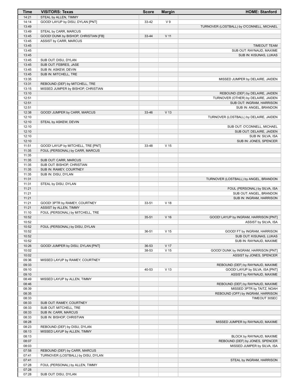| Time           | <b>VISITORS: Texas</b>                            | <b>Score</b> | <b>Margin</b>   | <b>HOME: Stanford</b>                     |
|----------------|---------------------------------------------------|--------------|-----------------|-------------------------------------------|
| 14:21          | STEAL by ALLEN, TIMMY                             |              |                 |                                           |
| 14:14          | GOOD! LAYUP by DISU, DYLAN [PNT]                  | 33-42        | V <sub>9</sub>  |                                           |
| 13:49          |                                                   |              |                 | TURNOVER (LOSTBALL) by O'CONNELL, MICHAEL |
| 13:49          | STEAL by CARR, MARCUS                             |              |                 |                                           |
| 13:45          | GOOD! DUNK by BISHOP, CHRISTIAN [FB]              | 33-44        | $V$ 11          |                                           |
| 13:45          | ASSIST by CARR, MARCUS                            |              |                 |                                           |
| 13:45          |                                                   |              |                 | <b>TIMEOUT TEAM</b>                       |
| 13:45          |                                                   |              |                 | SUB OUT: RAYNAUD, MAXIME                  |
| 13:45<br>13:45 | SUB OUT: DISU, DYLAN                              |              |                 | SUB IN: KISUNAS, LUKAS                    |
| 13:45          | SUB OUT: FEBRES, JASE                             |              |                 |                                           |
| 13:45          | SUB IN: ASKEW, DEVIN                              |              |                 |                                           |
| 13:45          | SUB IN: MITCHELL, TRE                             |              |                 |                                           |
| 13:35          |                                                   |              |                 | MISSED JUMPER by DELAIRE, JAIDEN          |
| 13:31          | REBOUND (DEF) by MITCHELL, TRE                    |              |                 |                                           |
| 13:15          | MISSED JUMPER by BISHOP, CHRISTIAN                |              |                 |                                           |
| 13:10          |                                                   |              |                 | REBOUND (DEF) by DELAIRE, JAIDEN          |
| 12:51          |                                                   |              |                 | TURNOVER (OTHER) by DELAIRE, JAIDEN       |
| 12:51          |                                                   |              |                 | SUB OUT: INGRAM, HARRISON                 |
| 12:51          |                                                   |              |                 | SUB IN: ANGEL, BRANDON                    |
| 12:38          | GOOD! JUMPER by CARR, MARCUS                      | 33-46        | V <sub>13</sub> |                                           |
| 12:10          |                                                   |              |                 | TURNOVER (LOSTBALL) by DELAIRE, JAIDEN    |
| 12:10          | STEAL by ASKEW, DEVIN                             |              |                 |                                           |
| 12:10          |                                                   |              |                 | SUB OUT: O'CONNELL, MICHAEL               |
| 12:10          |                                                   |              |                 | SUB OUT: DELAIRE, JAIDEN                  |
| 12:10          |                                                   |              |                 | SUB IN: SILVA, ISA                        |
| 12:10<br>11:51 | GOOD! LAYUP by MITCHELL, TRE [PNT]                | 33-48        | V <sub>15</sub> | SUB IN: JONES, SPENCER                    |
| 11:35          | FOUL (PERSONAL) by CARR, MARCUS                   |              |                 |                                           |
| 11:35          |                                                   |              |                 |                                           |
| 11:35          | SUB OUT: CARR, MARCUS                             |              |                 |                                           |
| 11:35          | SUB OUT: BISHOP, CHRISTIAN                        |              |                 |                                           |
| 11:35          | SUB IN: RAMEY, COURTNEY                           |              |                 |                                           |
| 11:35          | SUB IN: DISU, DYLAN                               |              |                 |                                           |
| 11:31          |                                                   |              |                 | TURNOVER (LOSTBALL) by ANGEL, BRANDON     |
| 11:31          | STEAL by DISU, DYLAN                              |              |                 |                                           |
| 11:21          |                                                   |              |                 | FOUL (PERSONAL) by SILVA, ISA             |
| 11:21          |                                                   |              |                 | SUB OUT: ANGEL, BRANDON                   |
| 11:21          |                                                   |              |                 | SUB IN: INGRAM, HARRISON                  |
| 11:21          | GOOD! 3PTR by RAMEY, COURTNEY                     | 33-51        | V <sub>18</sub> |                                           |
| 11:21          | ASSIST by ALLEN, TIMMY                            |              |                 |                                           |
| 11:10          | FOUL (PERSONAL) by MITCHELL, TRE                  |              |                 |                                           |
| 10:52          |                                                   | 35-51        | V <sub>16</sub> | GOOD! LAYUP by INGRAM, HARRISON [PNT]     |
| 10:52<br>10:52 |                                                   |              |                 | ASSIST by SILVA, ISA                      |
| 10:52          | FOUL (PERSONAL) by DISU, DYLAN                    | 36-51        | V 15            | GOOD! FT by INGRAM, HARRISON              |
| 10:52          |                                                   |              |                 | SUB OUT: KISUNAS, LUKAS                   |
| 10:52          |                                                   |              |                 | SUB IN: RAYNAUD, MAXIME                   |
| 10:26          | GOOD! JUMPER by DISU, DYLAN [PNT]                 | 36-53        | V 17            |                                           |
| 10:02          |                                                   | 38-53        | V <sub>15</sub> | GOOD! DUNK by INGRAM, HARRISON [PNT]      |
| 10:02          |                                                   |              |                 | ASSIST by JONES, SPENCER                  |
| 09:36          | MISSED LAYUP by RAMEY, COURTNEY                   |              |                 |                                           |
| 09:33          |                                                   |              |                 | REBOUND (DEF) by RAYNAUD, MAXIME          |
| 09:10          |                                                   | 40-53        | V <sub>13</sub> | GOOD! LAYUP by SILVA, ISA [PNT]           |
| 09:10          |                                                   |              |                 | ASSIST by RAYNAUD, MAXIME                 |
| 08:49          | MISSED LAYUP by ALLEN, TIMMY                      |              |                 |                                           |
| 08:46          |                                                   |              |                 | REBOUND (DEF) by RAYNAUD, MAXIME          |
| 08:39          |                                                   |              |                 | MISSED 3PTR by TAITZ, NOAH                |
| 08:35          |                                                   |              |                 | REBOUND (OFF) by INGRAM, HARRISON         |
| 08:33          |                                                   |              |                 | TIMEOUT 30SEC                             |
| 08:33          | SUB OUT: RAMEY, COURTNEY                          |              |                 |                                           |
| 08:33          | SUB OUT: MITCHELL, TRE                            |              |                 |                                           |
| 08:33<br>08:33 | SUB IN: CARR, MARCUS<br>SUB IN: BISHOP, CHRISTIAN |              |                 |                                           |
| 08:28          |                                                   |              |                 | MISSED JUMPER by RAYNAUD, MAXIME          |
| 08:23          | REBOUND (DEF) by DISU, DYLAN                      |              |                 |                                           |
| 08:13          | MISSED LAYUP by ALLEN, TIMMY                      |              |                 |                                           |
| 08:13          |                                                   |              |                 | BLOCK by RAYNAUD, MAXIME                  |
| 08:07          |                                                   |              |                 | REBOUND (DEF) by JONES, SPENCER           |
| 08:03          |                                                   |              |                 | MISSED JUMPER by SILVA, ISA               |
| 07:58          | REBOUND (DEF) by CARR, MARCUS                     |              |                 |                                           |
| 07:41          | TURNOVER (LOSTBALL) by DISU, DYLAN                |              |                 |                                           |
| 07:41          |                                                   |              |                 | STEAL by INGRAM, HARRISON                 |
| 07:28          | FOUL (PERSONAL) by ALLEN, TIMMY                   |              |                 |                                           |
| 07:28          |                                                   |              |                 |                                           |
| 07:28          | SUB OUT: DISU, DYLAN                              |              |                 |                                           |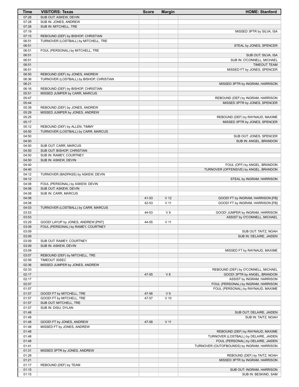| Time           | <b>VISITORS: Texas</b>                                                     | <b>Score</b>   | <b>Margin</b>            | <b>HOME: Stanford</b>                                                      |
|----------------|----------------------------------------------------------------------------|----------------|--------------------------|----------------------------------------------------------------------------|
| 07:28          | SUB OUT: ASKEW, DEVIN                                                      |                |                          |                                                                            |
| 07:28          | SUB IN: JONES, ANDREW                                                      |                |                          |                                                                            |
| 07:28          | SUB IN: MITCHELL, TRE                                                      |                |                          |                                                                            |
| 07:19<br>07:15 | REBOUND (DEF) by BISHOP, CHRISTIAN                                         |                |                          | MISSED 3PTR by SILVA, ISA                                                  |
| 06:51          | TURNOVER (LOSTBALL) by MITCHELL, TRE                                       |                |                          |                                                                            |
| 06:51          |                                                                            |                |                          | STEAL by JONES, SPENCER                                                    |
| 06:51          | FOUL (PERSONAL) by MITCHELL, TRE                                           |                |                          |                                                                            |
| 06:51          |                                                                            |                |                          | SUB OUT: SILVA, ISA                                                        |
| 06:51          |                                                                            |                |                          | SUB IN: O'CONNELL, MICHAEL                                                 |
| 06:51          |                                                                            |                |                          | <b>TIMEOUT TEAM</b>                                                        |
| 06:51          |                                                                            |                |                          | MISSED FT by JONES, SPENCER                                                |
| 06:50<br>06:36 | REBOUND (DEF) by JONES, ANDREW<br>TURNOVER (LOSTBALL) by BISHOP, CHRISTIAN |                |                          |                                                                            |
| 06:21          |                                                                            |                |                          | MISSED 3PTR by INGRAM, HARRISON                                            |
| 06:16          | REBOUND (DEF) by BISHOP, CHRISTIAN                                         |                |                          |                                                                            |
| 05:51          | MISSED JUMPER by CARR, MARCUS                                              |                |                          |                                                                            |
| 05:47          |                                                                            |                |                          | REBOUND (DEF) by INGRAM, HARRISON                                          |
| 05:44          |                                                                            |                |                          | MISSED 3PTR by JONES, SPENCER                                              |
| 05:39          | REBOUND (DEF) by JONES, ANDREW                                             |                |                          |                                                                            |
| 05:29          | MISSED JUMPER by JONES, ANDREW                                             |                |                          |                                                                            |
| 05:25<br>05:17 |                                                                            |                |                          | REBOUND (DEF) by RAYNAUD, MAXIME<br>MISSED 3PTR by JONES, SPENCER          |
| 05:12          | REBOUND (DEF) by ALLEN, TIMMY                                              |                |                          |                                                                            |
| 04:50          | TURNOVER (LOSTBALL) by CARR, MARCUS                                        |                |                          |                                                                            |
| 04:50          |                                                                            |                |                          | SUB OUT: JONES, SPENCER                                                    |
| 04:50          |                                                                            |                |                          | SUB IN: ANGEL, BRANDON                                                     |
| 04:50          | SUB OUT: CARR, MARCUS                                                      |                |                          |                                                                            |
| 04:50          | SUB OUT: BISHOP, CHRISTIAN                                                 |                |                          |                                                                            |
| 04:50<br>04:50 | SUB IN: RAMEY, COURTNEY<br>SUB IN: ASKEW, DEVIN                            |                |                          |                                                                            |
| 04:40          |                                                                            |                |                          | FOUL (OFF) by ANGEL, BRANDON                                               |
| 04:40          |                                                                            |                |                          | TURNOVER (OFFENSIVE) by ANGEL, BRANDON                                     |
| 04:12          | TURNOVER (BADPASS) by ASKEW, DEVIN                                         |                |                          |                                                                            |
| 04:12          |                                                                            |                |                          | STEAL by INGRAM, HARRISON                                                  |
| 04:08          | FOUL (PERSONAL) by ASKEW, DEVIN                                            |                |                          |                                                                            |
| 04:08          | SUB OUT: ASKEW, DEVIN                                                      |                |                          |                                                                            |
| 04:08<br>04:08 | SUB IN: CARR, MARCUS                                                       | 41-53          | V <sub>12</sub>          | GOOD! FT by INGRAM, HARRISON [FB]                                          |
| 04:08          |                                                                            | 42-53          | $V$ 11                   | GOOD! FT by INGRAM, HARRISON [FB]                                          |
| 04:03          | TURNOVER (LOSTBALL) by CARR, MARCUS                                        |                |                          |                                                                            |
| 03:53          |                                                                            | 44-53          | V <sub>9</sub>           | GOOD! JUMPER by INGRAM, HARRISON                                           |
| 03:53          |                                                                            |                |                          | ASSIST by O'CONNELL, MICHAEL                                               |
| 03:29<br>03:09 | GOOD! LAYUP by JONES, ANDREW [PNT]<br>FOUL (PERSONAL) by RAMEY, COURTNEY   | 44-55          | $V$ 11                   |                                                                            |
| 03:09          |                                                                            |                |                          | SUB OUT: TAITZ, NOAH                                                       |
| 03:09          |                                                                            |                |                          | SUB IN: DELAIRE, JAIDEN                                                    |
| 03:09          | SUB OUT: RAMEY, COURTNEY                                                   |                |                          |                                                                            |
| 03:09          | SUB IN: ASKEW, DEVIN                                                       |                |                          |                                                                            |
| 03:09          |                                                                            |                |                          | MISSED FT by RAYNAUD, MAXIME                                               |
| 03:07          | REBOUND (DEF) by MITCHELL, TRE                                             |                |                          |                                                                            |
| 02:59<br>02:36 | TIMEOUT 30SEC<br>MISSED JUMPER by JONES, ANDREW                            |                |                          |                                                                            |
| 02:33          |                                                                            |                |                          | REBOUND (DEF) by O'CONNELL, MICHAEL                                        |
| 02:17          |                                                                            | 47-55          | V8                       | GOOD! 3PTR by ANGEL, BRANDON                                               |
| 02:17          |                                                                            |                |                          | ASSIST by INGRAM, HARRISON                                                 |
| 02:07          |                                                                            |                |                          | FOUL (PERSONAL) by INGRAM, HARRISON                                        |
| 01:57          |                                                                            |                |                          | FOUL (PERSONAL) by RAYNAUD, MAXIME                                         |
| 01:57<br>01:57 | GOOD! FT by MITCHELL, TRE<br>GOOD! FT by MITCHELL, TRE                     | 47-56<br>47-57 | V <sub>9</sub><br>$V$ 10 |                                                                            |
| 01:57          | SUB OUT: MITCHELL, TRE                                                     |                |                          |                                                                            |
| 01:57          | SUB IN: DISU, DYLAN                                                        |                |                          |                                                                            |
| 01:48          |                                                                            |                |                          | SUB OUT: DELAIRE, JAIDEN                                                   |
| 01:48          |                                                                            |                |                          | SUB IN: TAITZ, NOAH                                                        |
| 01:48          | GOOD! FT by JONES, ANDREW                                                  | 47-58          | $V$ 11                   |                                                                            |
| 01:48          | MISSED FT by JONES, ANDREW                                                 |                |                          |                                                                            |
| 01:48<br>01:48 |                                                                            |                |                          | REBOUND (DEF) by RAYNAUD, MAXIME<br>TURNOVER (LOSTBALL) by DELAIRE, JAIDEN |
| 01:48          |                                                                            |                |                          | FOUL (PERSONAL) by DELAIRE, JAIDEN                                         |
| 01:41          |                                                                            |                |                          | TURNOVER (OUTOFBOUNDS) by INGRAM, HARRISON                                 |
| 01:31          | MISSED 3PTR by JONES, ANDREW                                               |                |                          |                                                                            |
| 01:28          |                                                                            |                |                          | REBOUND (DEF) by TAITZ, NOAH                                               |
| 01:21          |                                                                            |                |                          | MISSED 3PTR by INGRAM, HARRISON                                            |
| 01:17          |                                                                            |                |                          |                                                                            |
| 01:15          | REBOUND (DEF) by TEAM                                                      |                |                          | SUB OUT: INGRAM, HARRISON                                                  |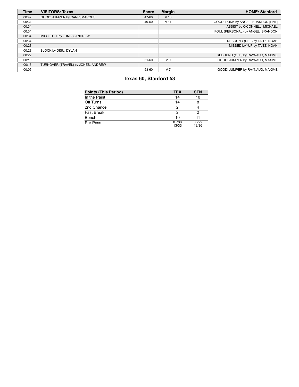| <b>Time</b> | <b>VISITORS: Texas</b>             | <b>Score</b> | <b>Margin</b>   | <b>HOME: Stanford</b>              |
|-------------|------------------------------------|--------------|-----------------|------------------------------------|
| 00:47       | GOOD! JUMPER by CARR, MARCUS       | 47-60        | V <sub>13</sub> |                                    |
| 00:34       |                                    | 49-60        | V <sub>11</sub> | GOOD! DUNK by ANGEL, BRANDON [PNT] |
| 00:34       |                                    |              |                 | ASSIST by O'CONNELL, MICHAEL       |
| 00:34       |                                    |              |                 | FOUL (PERSONAL) by ANGEL, BRANDON  |
| 00:34       | MISSED FT by JONES, ANDREW         |              |                 |                                    |
| 00:34       |                                    |              |                 | REBOUND (DEF) by TAITZ, NOAH       |
| 00:28       |                                    |              |                 | MISSED LAYUP by TAITZ, NOAH        |
| 00:28       | BLOCK by DISU, DYLAN               |              |                 |                                    |
| 00:22       |                                    |              |                 | REBOUND (OFF) by RAYNAUD, MAXIME   |
| 00:19       |                                    | 51-60        | V <sub>9</sub>  | GOOD! JUMPER by RAYNAUD, MAXIME    |
| 00:15       | TURNOVER (TRAVEL) by JONES, ANDREW |              |                 |                                    |
| 00:06       |                                    | 53-60        | V <sub>7</sub>  | GOOD! JUMPER by RAYNAUD. MAXIME    |

# **Texas 60, Stanford 53**

| <b>Points (This Period)</b> | <b>TEX</b>     | <b>STN</b>     |
|-----------------------------|----------------|----------------|
| In the Paint                | 14             | 10             |
| Off Turns                   | 14             |                |
| 2nd Chance                  | 2              |                |
| <b>Fast Break</b>           | 2              |                |
| Bench                       | 10             |                |
| Per Poss                    | 0.788<br>13/33 | 0.722<br>13/36 |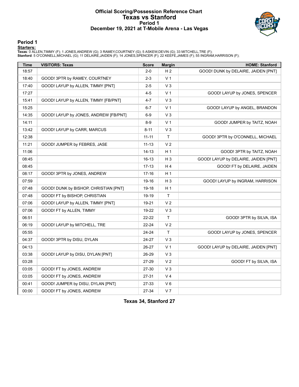#### **Official Scoring/Possession Reference Chart Texas vs Stanford Period 1 December 19, 2021 at T-Mobile Arena - Las Vegas**



### **Period 1**

<mark>Starters:</mark><br>Texas: 0 ALLEN,TIMMY (F); 1 JONES,ANDREW (G); 3 RAMEY,COURTNEY (G); 5 ASKEW,DEVIN (G); 33 MITCHELL,TRE (F);<br>Stanford: 5 O'CONNELL,MICHAEL (G); 11 DELAIRE,JAIDEN (F); 14 JONES,SPENCER (F); 22 KEEFE,JAMES (F); 5

| <b>Time</b> | <b>VISITORS: Texas</b>                | <b>Score</b> | <b>Margin</b>  | <b>HOME: Stanford</b>                |
|-------------|---------------------------------------|--------------|----------------|--------------------------------------|
| 18:57       |                                       | $2 - 0$      | H <sub>2</sub> | GOOD! DUNK by DELAIRE, JAIDEN [PNT]  |
| 18:40       | GOOD! 3PTR by RAMEY, COURTNEY         | $2 - 3$      | V <sub>1</sub> |                                      |
| 17:40       | GOOD! LAYUP by ALLEN, TIMMY [PNT]     | $2 - 5$      | $V_3$          |                                      |
| 17:27       |                                       | $4 - 5$      | V <sub>1</sub> | GOOD! LAYUP by JONES, SPENCER        |
| 15:41       | GOOD! LAYUP by ALLEN, TIMMY [FB/PNT]  | $4 - 7$      | V <sub>3</sub> |                                      |
| 15:25       |                                       | $6 - 7$      | V <sub>1</sub> | GOOD! LAYUP by ANGEL, BRANDON        |
| 14:35       | GOOD! LAYUP by JONES, ANDREW [FB/PNT] | $6-9$        | V <sub>3</sub> |                                      |
| 14:11       |                                       | $8-9$        | V <sub>1</sub> | GOOD! JUMPER by TAITZ, NOAH          |
| 13:42       | GOOD! LAYUP by CARR, MARCUS           | $8 - 11$     | $V_3$          |                                      |
| 12:38       |                                       | $11 - 11$    | Τ              | GOOD! 3PTR by O'CONNELL, MICHAEL     |
| 11:21       | GOOD! JUMPER by FEBRES, JASE          | $11 - 13$    | V <sub>2</sub> |                                      |
| 11:06       |                                       | $14 - 13$    | H <sub>1</sub> | GOOD! 3PTR by TAITZ, NOAH            |
| 08:45       |                                       | 16-13        | H <sub>3</sub> | GOOD! LAYUP by DELAIRE, JAIDEN [PNT] |
| 08:45       |                                       | $17 - 13$    | H4             | GOOD! FT by DELAIRE, JAIDEN          |
| 08:17       | GOOD! 3PTR by JONES, ANDREW           | 17-16        | H <sub>1</sub> |                                      |
| 07:59       |                                       | 19-16        | $H_3$          | GOOD! LAYUP by INGRAM, HARRISON      |
| 07:48       | GOOD! DUNK by BISHOP, CHRISTIAN [PNT] | 19-18        | H <sub>1</sub> |                                      |
| 07:48       | GOOD! FT by BISHOP, CHRISTIAN         | 19-19        | T              |                                      |
| 07:06       | GOOD! LAYUP by ALLEN, TIMMY [PNT]     | 19-21        | V <sub>2</sub> |                                      |
| 07:06       | GOOD! FT by ALLEN, TIMMY              | 19-22        | $V_3$          |                                      |
| 06:51       |                                       | 22-22        | Τ              | GOOD! 3PTR by SILVA, ISA             |
| 06:19       | GOOD! LAYUP by MITCHELL, TRE          | 22-24        | V <sub>2</sub> |                                      |
| 05:55       |                                       | 24-24        | T.             | GOOD! LAYUP by JONES, SPENCER        |
| 04:37       | GOOD! 3PTR by DISU, DYLAN             | 24-27        | V3             |                                      |
| 04:13       |                                       | 26-27        | V <sub>1</sub> | GOOD! LAYUP by DELAIRE, JAIDEN [PNT] |
| 03:38       | GOOD! LAYUP by DISU, DYLAN [PNT]      | 26-29        | $V_3$          |                                      |
| 03:28       |                                       | 27-29        | V <sub>2</sub> | GOOD! FT by SILVA, ISA               |
| 03:05       | GOOD! FT by JONES, ANDREW             | 27-30        | $V_3$          |                                      |
| 03:05       | GOOD! FT by JONES, ANDREW             | 27-31        | V <sub>4</sub> |                                      |
| 00:41       | GOOD! JUMPER by DISU, DYLAN [PNT]     | 27-33        | $V_6$          |                                      |
| 00:00       | GOOD! FT by JONES, ANDREW             | 27-34        | V <sub>7</sub> |                                      |

**Texas 34, Stanford 27**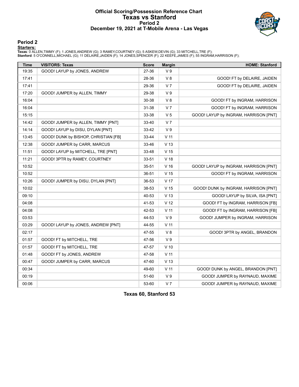#### **Official Scoring/Possession Reference Chart Texas vs Stanford Period 2 December 19, 2021 at T-Mobile Arena - Las Vegas**



### **Period 2**

<mark>Starters:</mark><br>Texas: 0 ALLEN,TIMMY (F); 1 JONES,ANDREW (G); 3 RAMEY,COURTNEY (G); 5 ASKEW,DEVIN (G); 33 MITCHELL,TRE (F);<br>Stanford: 5 O'CONNELL,MICHAEL (G); 11 DELAIRE,JAIDEN (F); 14 JONES,SPENCER (F); 22 KEEFE,JAMES (F); 5

| <b>Time</b> | <b>VISITORS: Texas</b>               | <b>Score</b> | <b>Margin</b>   | <b>HOME: Stanford</b>                 |
|-------------|--------------------------------------|--------------|-----------------|---------------------------------------|
| 19:35       | GOOD! LAYUP by JONES, ANDREW         | 27-36        | V <sub>9</sub>  |                                       |
| 17:41       |                                      | 28-36        | V8              | GOOD! FT by DELAIRE, JAIDEN           |
| 17:41       |                                      | 29-36        | V <sub>7</sub>  | GOOD! FT by DELAIRE, JAIDEN           |
| 17:20       | GOOD! JUMPER by ALLEN, TIMMY         | 29-38        | V <sub>9</sub>  |                                       |
| 16:04       |                                      | 30-38        | V8              | GOOD! FT by INGRAM, HARRISON          |
| 16:04       |                                      | 31-38        | V <sub>7</sub>  | GOOD! FT by INGRAM, HARRISON          |
| 15:15       |                                      | 33-38        | V <sub>5</sub>  | GOOD! LAYUP by INGRAM, HARRISON [PNT] |
| 14:42       | GOOD! JUMPER by ALLEN, TIMMY [PNT]   | 33-40        | V <sub>7</sub>  |                                       |
| 14:14       | GOOD! LAYUP by DISU, DYLAN [PNT]     | 33-42        | V <sub>9</sub>  |                                       |
| 13:45       | GOOD! DUNK by BISHOP, CHRISTIAN [FB] | 33-44        | $V$ 11          |                                       |
| 12:38       | GOOD! JUMPER by CARR, MARCUS         | 33-46        | V <sub>13</sub> |                                       |
| 11:51       | GOOD! LAYUP by MITCHELL, TRE [PNT]   | 33-48        | V <sub>15</sub> |                                       |
| 11:21       | GOOD! 3PTR by RAMEY, COURTNEY        | 33-51        | V <sub>18</sub> |                                       |
| 10:52       |                                      | 35-51        | V <sub>16</sub> | GOOD! LAYUP by INGRAM, HARRISON [PNT] |
| 10:52       |                                      | 36-51        | V <sub>15</sub> | GOOD! FT by INGRAM, HARRISON          |
| 10:26       | GOOD! JUMPER by DISU, DYLAN [PNT]    | 36-53        | V 17            |                                       |
| 10:02       |                                      | 38-53        | V <sub>15</sub> | GOOD! DUNK by INGRAM, HARRISON [PNT]  |
| 09:10       |                                      | 40-53        | V <sub>13</sub> | GOOD! LAYUP by SILVA, ISA [PNT]       |
| 04:08       |                                      | 41-53        | V <sub>12</sub> | GOOD! FT by INGRAM, HARRISON [FB]     |
| 04:08       |                                      | 42-53        | $V$ 11          | GOOD! FT by INGRAM, HARRISON [FB]     |
| 03:53       |                                      | 44-53        | V <sub>9</sub>  | GOOD! JUMPER by INGRAM, HARRISON      |
| 03:29       | GOOD! LAYUP by JONES, ANDREW [PNT]   | 44-55        | V <sub>11</sub> |                                       |
| 02:17       |                                      | 47-55        | V8              | GOOD! 3PTR by ANGEL, BRANDON          |
| 01:57       | GOOD! FT by MITCHELL, TRE            | 47-56        | V <sub>9</sub>  |                                       |
| 01:57       | GOOD! FT by MITCHELL, TRE            | 47-57        | $V$ 10          |                                       |
| 01:48       | GOOD! FT by JONES, ANDREW            | 47-58        | $V$ 11          |                                       |
| 00:47       | GOOD! JUMPER by CARR, MARCUS         | 47-60        | V <sub>13</sub> |                                       |
| 00:34       |                                      | 49-60        | V <sub>11</sub> | GOOD! DUNK by ANGEL, BRANDON [PNT]    |
| 00:19       |                                      | 51-60        | V <sub>9</sub>  | GOOD! JUMPER by RAYNAUD, MAXIME       |
| 00:06       |                                      | 53-60        | V <sub>7</sub>  | GOOD! JUMPER by RAYNAUD, MAXIME       |

**Texas 60, Stanford 53**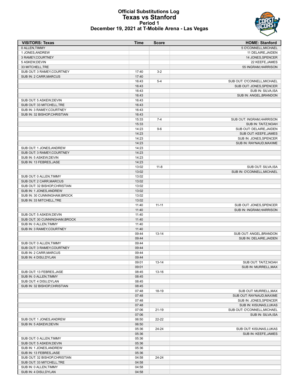#### **Official Substitutions Log Texas vs Stanford Period 1 December 19, 2021 at T-Mobile Arena - Las Vegas**



| <b>VISITORS: Texas</b>                                | <b>Time</b>    | <b>Score</b> | <b>HOME: Stanford</b>                         |
|-------------------------------------------------------|----------------|--------------|-----------------------------------------------|
| 0 ALLEN, TIMMY                                        |                |              | 5 O'CONNELL, MICHAEL                          |
| 1 JONES, ANDREW                                       |                |              | 11 DELAIRE, JAIDEN                            |
| 3 RAMEY, COURTNEY                                     |                |              | 14 JONES, SPENCER                             |
| 5 ASKEW, DEVIN                                        |                |              | 22 KEEFE, JAMES                               |
| 33 MITCHELL, TRE                                      |                |              | 55 INGRAM, HARRISON                           |
| SUB OUT: 3 RAMEY, COURTNEY                            | 17:40          | $3-2$        |                                               |
| SUB IN: 2 CARR, MARCUS                                | 17:40          |              |                                               |
|                                                       | 16:43<br>16:43 | $5 - 4$      | SUB OUT: O'CONNELL, MICHAEL                   |
|                                                       | 16:43          |              | SUB OUT: JONES, SPENCER<br>SUB IN: SILVA, ISA |
|                                                       | 16:43          |              | SUB IN: ANGEL, BRANDON                        |
| SUB OUT: 5 ASKEW, DEVIN                               | 16:43          |              |                                               |
| SUB OUT: 33 MITCHELL, TRE                             | 16:43          |              |                                               |
| SUB IN: 3 RAMEY, COURTNEY                             | 16:43          |              |                                               |
| SUB IN: 32 BISHOP, CHRISTIAN                          | 16:43          |              |                                               |
|                                                       | 15:33          | $7 - 4$      | SUB OUT: INGRAM, HARRISON                     |
|                                                       | 15:33          |              | SUB IN: TAITZ, NOAH                           |
|                                                       | 14:23          | $9-6$        | SUB OUT: DELAIRE, JAIDEN                      |
|                                                       | 14:23          |              | SUB OUT: KEEFE, JAMES                         |
|                                                       | 14:23          |              | SUB IN: JONES, SPENCER                        |
|                                                       | 14:23          |              | SUB IN: RAYNAUD, MAXIME                       |
| SUB OUT: 1 JONES, ANDREW                              | 14:23          |              |                                               |
| SUB OUT: 3 RAMEY, COURTNEY                            | 14:23          |              |                                               |
| SUB IN: 5 ASKEW, DEVIN                                | 14:23          |              |                                               |
| SUB IN: 13 FEBRES, JASE                               | 14:23          |              |                                               |
|                                                       | 13:02          | $11 - 8$     | SUB OUT: SILVA, ISA                           |
|                                                       | 13:02          |              | SUB IN: O'CONNELL, MICHAEL                    |
| SUB OUT: 0 ALLEN, TIMMY                               | 13:02          |              |                                               |
| SUB OUT: 2 CARR, MARCUS                               | 13:02          |              |                                               |
| SUB OUT: 32 BISHOP, CHRISTIAN                         | 13:02          |              |                                               |
| SUB IN: 1 JONES, ANDREW                               | 13:02          |              |                                               |
| SUB IN: 30 CUNNINGHAM, BROCK                          | 13:02          |              |                                               |
| SUB IN: 33 MITCHELL, TRE                              | 13:02          |              |                                               |
|                                                       | 11:40          | $11 - 11$    | SUB OUT: JONES, SPENCER                       |
|                                                       | 11:40          |              | SUB IN: INGRAM, HARRISON                      |
| SUB OUT: 5 ASKEW, DEVIN                               | 11:40          |              |                                               |
| SUB OUT: 30 CUNNINGHAM, BROCK                         | 11:40          |              |                                               |
| SUB IN: 0 ALLEN, TIMMY                                | 11:40          |              |                                               |
| SUB IN: 3 RAMEY, COURTNEY                             | 11:40          |              |                                               |
|                                                       | 09:44          | $13 - 14$    | SUB OUT: ANGEL, BRANDON                       |
|                                                       | 09:44<br>09:44 |              | SUB IN: DELAIRE, JAIDEN                       |
| SUB OUT: 0 ALLEN, TIMMY<br>SUB OUT: 3 RAMEY, COURTNEY | 09:44          |              |                                               |
| SUB IN: 2 CARR, MARCUS                                | 09:44          |              |                                               |
| SUB IN: 4 DISU, DYLAN                                 | 09:44          |              |                                               |
|                                                       | 09:01          | $13 - 14$    | SUB OUT: TAITZ, NOAH                          |
|                                                       | 09:01          |              | SUB IN: MURRELL, MAX                          |
| SUB OUT: 13 FEBRES, JASE                              | 08:45          | $13 - 16$    |                                               |
| SUB IN: 0 ALLEN, TIMMY                                | 08:45          |              |                                               |
| SUB OUT: 4 DISU, DYLAN                                | 08:45          |              |                                               |
| SUB IN: 32 BISHOP, CHRISTIAN                          | 08:45          |              |                                               |
|                                                       | 07:48          | 18-19        | SUB OUT: MURRELL, MAX                         |
|                                                       | 07:48          |              | SUB OUT: RAYNAUD, MAXIME                      |
|                                                       | 07:48          |              | SUB IN: JONES, SPENCER                        |
|                                                       | 07:48          |              | SUB IN: KISUNAS, LUKAS                        |
|                                                       | 07:06          | $21 - 19$    | SUB OUT: O'CONNELL, MICHAEL                   |
|                                                       | 07:06          |              | SUB IN: SILVA, ISA                            |
| SUB OUT: 1 JONES, ANDREW                              | 06:50          | 22-22        |                                               |
| SUB IN: 5 ASKEW, DEVIN                                | 06:50          |              |                                               |
|                                                       | 05:36          | 24-24        | SUB OUT: KISUNAS, LUKAS                       |
|                                                       | 05:36          |              | SUB IN: KEEFE, JAMES                          |
| SUB OUT: 0 ALLEN, TIMMY                               | 05:36          |              |                                               |
| SUB OUT: 5 ASKEW, DEVIN                               | 05:36          |              |                                               |
| SUB IN: 1 JONES, ANDREW                               | 05:36          |              |                                               |
| SUB IN: 13 FEBRES, JASE                               | 05:36          |              |                                               |
| SUB OUT: 32 BISHOP, CHRISTIAN                         | 04:58          | 24-24        |                                               |
| SUB OUT: 33 MITCHELL, TRE                             | 04:58          |              |                                               |
| SUB IN: 0 ALLEN, TIMMY                                | 04:58          |              |                                               |
| SUB IN: 4 DISU, DYLAN                                 | 04:58          |              |                                               |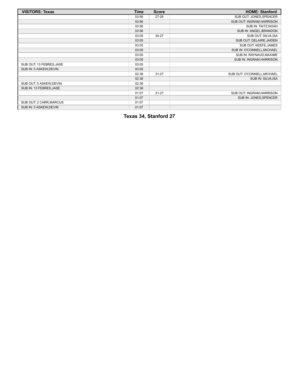| <b>VISITORS: Texas</b>   | Time  | <b>Score</b> | <b>HOME: Stanford</b>       |
|--------------------------|-------|--------------|-----------------------------|
|                          | 03:56 | $27 - 26$    | SUB OUT: JONES, SPENCER     |
|                          | 03:56 |              | SUB OUT: INGRAM, HARRISON   |
|                          | 03:56 |              | SUB IN: TAITZ, NOAH         |
|                          | 03:56 |              | SUB IN: ANGEL, BRANDON      |
|                          | 03:05 | 30-27        | SUB OUT: SILVA, ISA         |
|                          | 03:05 |              | SUB OUT: DELAIRE, JAIDEN    |
|                          | 03:05 |              | SUB OUT: KEEFE, JAMES       |
|                          | 03:05 |              | SUB IN: O'CONNELL, MICHAEL  |
|                          | 03:05 |              | SUB IN: RAYNAUD, MAXIME     |
|                          | 03:05 |              | SUB IN: INGRAM, HARRISON    |
| SUB OUT: 13 FEBRES, JASE | 03:05 |              |                             |
| SUB IN: 5 ASKEW, DEVIN   | 03:05 |              |                             |
|                          | 02:38 | $31 - 27$    | SUB OUT: O'CONNELL, MICHAEL |
|                          | 02:38 |              | SUB IN: SILVA, ISA          |
| SUB OUT: 5 ASKEW, DEVIN  | 02:38 |              |                             |
| SUB IN: 13 FEBRES, JASE  | 02:38 |              |                             |
|                          | 01:07 | $31 - 27$    | SUB OUT: INGRAM, HARRISON   |
|                          | 01:07 |              | SUB IN: JONES, SPENCER      |
| SUB OUT: 2 CARR, MARCUS  | 01:07 |              |                             |
| SUB IN: 5 ASKEW, DEVIN   | 01:07 |              |                             |

**Texas 34, Stanford 27**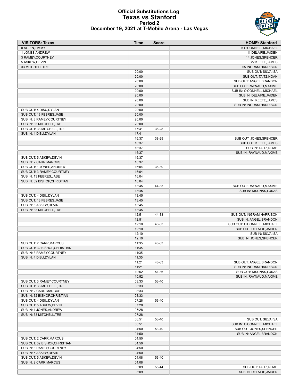#### **Official Substitutions Log Texas vs Stanford Period 2 December 19, 2021 at T-Mobile Arena - Las Vegas**

| <b>VISITORS: Texas</b>                                   | Time           | <b>Score</b> | <b>HOME: Stanford</b>                             |
|----------------------------------------------------------|----------------|--------------|---------------------------------------------------|
| 0 ALLEN.TIMMY                                            |                |              | 5 O'CONNELL, MICHAEL                              |
| 1 JONES, ANDREW                                          |                |              | 11 DELAIRE, JAIDEN                                |
| 3 RAMEY, COURTNEY                                        |                |              | 14 JONES, SPENCER                                 |
| 5 ASKEW, DEVIN                                           |                |              | 22 KEEFE, JAMES                                   |
| 33 MITCHELL, TRE                                         |                |              | 55 INGRAM, HARRISON                               |
|                                                          | 20:00          |              | SUB OUT: SILVA, ISA                               |
|                                                          | 20:00<br>20:00 |              | SUB OUT: TAITZ, NOAH<br>SUB OUT: ANGEL, BRANDON   |
|                                                          | 20:00          |              | SUB OUT: RAYNAUD, MAXIME                          |
|                                                          | 20:00          |              | SUB IN: O'CONNELL, MICHAEL                        |
|                                                          | 20:00          |              | SUB IN: DELAIRE, JAIDEN                           |
|                                                          | 20:00          |              | SUB IN: KEEFE, JAMES                              |
|                                                          | 20:00          |              | SUB IN: INGRAM, HARRISON                          |
| SUB OUT: 4 DISU, DYLAN                                   | 20:00          |              |                                                   |
| SUB OUT: 13 FEBRES, JASE                                 | 20:00          |              |                                                   |
| SUB IN: 3 RAMEY, COURTNEY                                | 20:00          |              |                                                   |
| SUB IN: 33 MITCHELL, TRE                                 | 20:00          |              |                                                   |
| SUB OUT: 33 MITCHELL, TRE                                | 17:41          | 36-28        |                                                   |
| SUB IN: 4 DISU, DYLAN                                    | 17:41          |              |                                                   |
|                                                          | 16:37          | 38-29        | SUB OUT: JONES, SPENCER                           |
|                                                          | 16:37          |              | SUB OUT: KEEFE, JAMES                             |
|                                                          | 16:37          |              | SUB IN: TAITZ, NOAH                               |
|                                                          | 16:37          |              | SUB IN: RAYNAUD, MAXIME                           |
| SUB OUT: 5 ASKEW, DEVIN                                  | 16:37          |              |                                                   |
| SUB IN: 2 CARR, MARCUS<br>SUB OUT: 1 JONES, ANDREW       | 16:37<br>16:04 | 38-30        |                                                   |
| SUB OUT: 3 RAMEY, COURTNEY                               | 16:04          |              |                                                   |
| SUB IN: 13 FEBRES, JASE                                  | 16:04          |              |                                                   |
| SUB IN: 32 BISHOP, CHRISTIAN                             | 16:04          |              |                                                   |
|                                                          | 13:45          | 44-33        | SUB OUT: RAYNAUD, MAXIME                          |
|                                                          | 13:45          |              | SUB IN: KISUNAS, LUKAS                            |
| SUB OUT: 4 DISU, DYLAN                                   | 13:45          |              |                                                   |
| SUB OUT: 13 FEBRES, JASE                                 | 13:45          |              |                                                   |
| SUB IN: 5 ASKEW, DEVIN                                   | 13:45          |              |                                                   |
| SUB IN: 33 MITCHELL, TRE                                 | 13:45          |              |                                                   |
|                                                          | 12:51          | 44-33        | SUB OUT: INGRAM, HARRISON                         |
|                                                          | 12:51          |              | SUB IN: ANGEL, BRANDON                            |
|                                                          | 12:10          | 46-33        | SUB OUT: O'CONNELL, MICHAEL                       |
|                                                          | 12:10          |              | SUB OUT: DELAIRE, JAIDEN                          |
|                                                          | 12:10          |              | SUB IN: SILVA, ISA                                |
|                                                          | 12:10          | 48-33        | SUB IN: JONES, SPENCER                            |
| SUB OUT: 2 CARR, MARCUS<br>SUB OUT: 32 BISHOP, CHRISTIAN | 11:35<br>11:35 |              |                                                   |
| SUB IN: 3 RAMEY, COURTNEY                                | 11:35          |              |                                                   |
| SUB IN: 4 DISU, DYLAN                                    | 11:35          |              |                                                   |
|                                                          | 11:21          | 48-33        | SUB OUT: ANGEL, BRANDON                           |
|                                                          | 11:21          |              | SUB IN: INGRAM, HARRISON                          |
|                                                          | 10:52          | 51-36        | SUB OUT: KISUNAS, LUKAS                           |
|                                                          | 10:52          |              | SUB IN: RAYNAUD, MAXIME                           |
| SUB OUT: 3 RAMEY, COURTNEY                               | 08:33          | 53-40        |                                                   |
| SUB OUT: 33 MITCHELL, TRE                                | 08:33          |              |                                                   |
| SUB IN: 2 CARR, MARCUS                                   | 08:33          |              |                                                   |
| SUB IN: 32 BISHOP, CHRISTIAN                             | 08:33          |              |                                                   |
| SUB OUT: 4 DISU, DYLAN                                   | 07:28          | 53-40        |                                                   |
| SUB OUT: 5 ASKEW, DEVIN                                  | 07:28          |              |                                                   |
| SUB IN: 1 JONES, ANDREW                                  | 07:28          |              |                                                   |
| SUB IN: 33 MITCHELL, TRE                                 | 07:28          |              |                                                   |
|                                                          | 06:51<br>06:51 | 53-40        | SUB OUT: SILVA, ISA<br>SUB IN: O'CONNELL, MICHAEL |
|                                                          | 04:50          | 53-40        | SUB OUT: JONES, SPENCER                           |
|                                                          | 04:50          |              | SUB IN: ANGEL, BRANDON                            |
| SUB OUT: 2 CARR, MARCUS                                  | 04:50          |              |                                                   |
| SUB OUT: 32 BISHOP, CHRISTIAN                            | 04:50          |              |                                                   |
| SUB IN: 3 RAMEY, COURTNEY                                | 04:50          |              |                                                   |
| SUB IN: 5 ASKEW, DEVIN                                   | 04:50          |              |                                                   |
| SUB OUT: 5 ASKEW, DEVIN                                  | 04:08          | 53-40        |                                                   |
| SUB IN: 2 CARR, MARCUS                                   | 04:08          |              |                                                   |
|                                                          | 03:09          | 55-44        | SUB OUT: TAITZ, NOAH                              |
|                                                          | 03:09          |              | SUB IN: DELAIRE, JAIDEN                           |